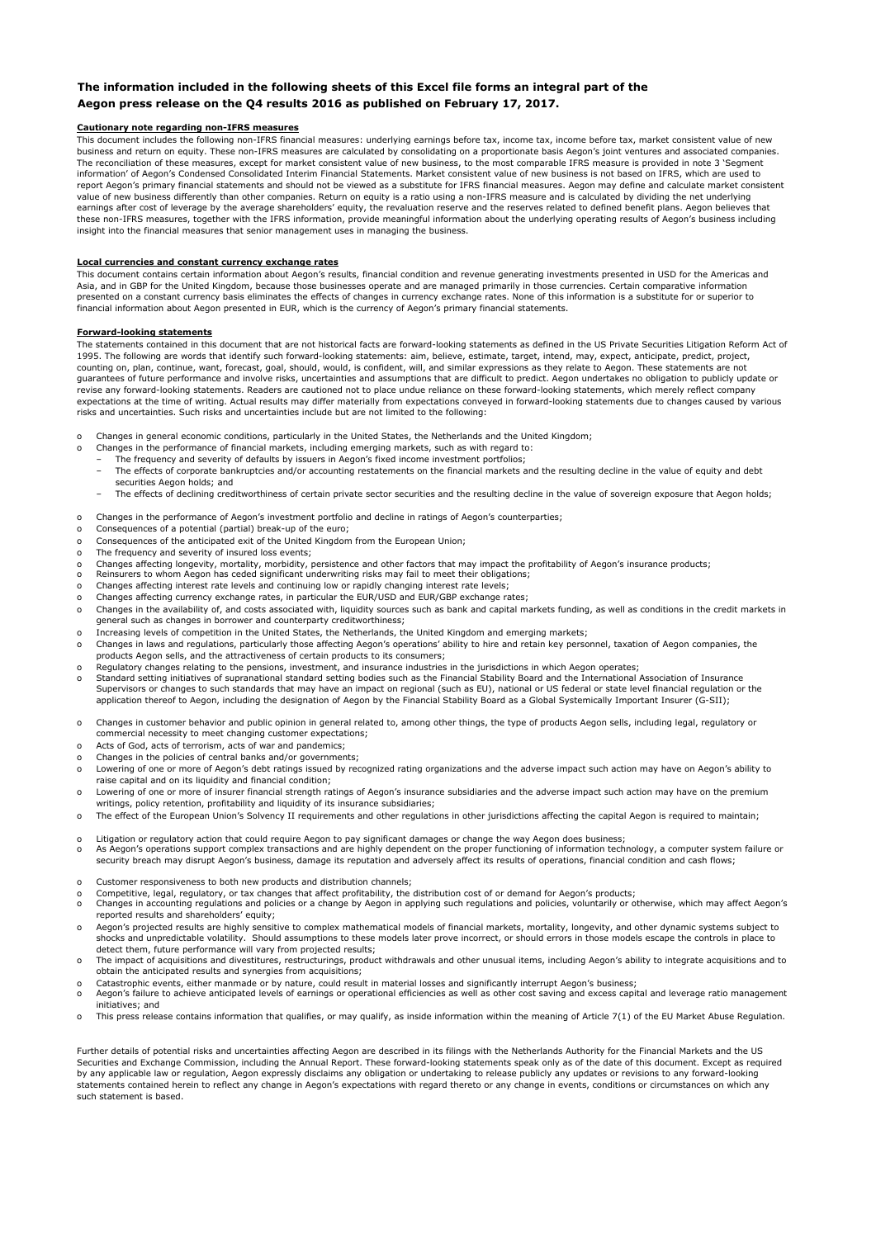# **The information included in the following sheets of this Excel file forms an integral part of the Aegon press release on the Q4 results 2016 as published on February 17, 2017.**

# **Cautionary note regarding non-IFRS measures**

This document includes the following non-IFRS financial measures: underlying earnings before tax, income tax, income before tax, market consistent value of new business and return on equity. These non-IFRS measures are calculated by consolidating on a proportionate basis Aegon's joint ventures and associated companies. The reconciliation of these measures, except for market consistent value of new business, to the most comparable IFRS measure is provided in note 3 'Segment information' of Aegon's Condensed Consolidated Interim Financial Statements. Market consistent value of new business is not based on IFRS, which are used to report Aegon's primary financial statements and should not be viewed as a substitute for IFRS financial measures. Aegon may define and calculate market consistent value of new business differently than other companies. Return on equity is a ratio using a non-IFRS measure and is calculated by dividing the net underlying earnings after cost of leverage by the average shareholders' equity, the revaluation reserve and the reserves related to defined benefit plans. Aegon believes that<br>these non-IFRS measures, together with the IFRS informatio insight into the financial measures that senior management uses in managing the business.

# **Local currencies and constant currency exchange rates**

This document contains certain information about Aegon's results, financial condition and revenue generating investments presented in USD for the Americas and Asia, and in GBP for the United Kingdom, because those businesses operate and are managed primarily in those currencies. Certain comparative information presented on a constant currency basis eliminates the effects of changes in currency exchange rates. None of this information is a substitute for or superior to financial information about Aegon presented in EUR, which is the currency of Aegon's primary financial statements.

#### **Forward-looking statements**

The statements contained in this document that are not historical facts are forward-looking statements as defined in the US Private Securities Litigation Reform Act of 1995. The following are words that identify such forward-looking statements: aim, believe, estimate, target, intend, may, expect, anticipate, predict, project,<br>counting on, plan, continue, want, forecast, goal, should, wou guarantees of future performance and involve risks, uncertainties and assumptions that are difficult to predict. Aegon undertakes no obligation to publicly update or revise any forward-looking statements. Readers are cautioned not to place undue reliance on these forward-looking statements, which merely reflect company expectations at the time of writing. Actual results may differ materially from expectations conveyed in forward-looking statements due to changes caused by various risks and uncertainties. Such risks and uncertainties include but are not limited to the following:

- Changes in general economic conditions, particularly in the United States, the Netherlands and the United Kingdom;
- 
- o Changes in the performance of financial markets, including emerging markets, such as with regard to: The frequency and severity of defaults by issuers in Aegon's fixed income investment portfolios;
	- The effects of corporate bankruptcies and/or accounting restatements on the financial markets and the resulting decline in the value of equity and debt securities Aegon holds; and
	- The effects of declining creditworthiness of certain private sector securities and the resulting decline in the value of sovereign exposure that Aegon holds;
- o Changes in the performance of Aegon's investment portfolio and decline in ratings of Aegon's counterparties;
- o Consequences of a potential (partial) break-up of the euro;
- Consequences of the anticipated exit of the United Kingdom from the European Union;
- The frequency and severity of insured loss events;
- o o Changes affecting longevity, mortality, morbidity, persistence and other factors that may impact the profitability of Aegon's insurance products;<br>o Reinsurers to whom Aegon has ceded significant underwriting risks may fa
- 
- Changes affecting interest rate levels and continuing low or rapidly changing interest rate levels; Changes affecting currency exchange rates, in particular the EUR/USD and EUR/GBP exchange rates;
- o Changes in the availability of, and costs associated with, liquidity sources such as bank and capital markets funding, as well as conditions in the credit markets in general such as changes in borrower and counterparty creditworthiness;
- Increasing levels of competition in the United States, the Netherlands, the United Kingdom and emerging markets;
- o Changes in laws and regulations, particularly those affecting Aegon's operations' ability to hire and retain key personnel, taxation of Aegon companies, the products Aegon sells, and the attractiveness of certain products to its consumers;
- o Regulatory changes relating to the pensions, investment, and insurance industries in the jurisdictions in which Aegon operates;
- o Standard setting initiatives of supranational standard setting bodies such as the Financial Stability Board and the International Association of Insurance Supervisors or changes to such standards that may have an impact on regional (such as EU), national or US federal or state level financial regulation or the application thereof to Aegon, including the designation of Aegon by the Financial Stability Board as a Global Systemically Important Insurer (G-SII);
- o Changes in customer behavior and public opinion in general related to, among other things, the type of products Aegon sells, including legal, regulatory or commercial necessity to meet changing customer expectations;
- o Acts of God, acts of terrorism, acts of war and pandemics;
- Changes in the policies of central banks and/or governments;
- o Lowering of one or more of Aegon's debt ratings issued by recognized rating organizations and the adverse impact such action may have on Aegon's ability to raise capital and on its liquidity and financial condition;
- o Lowering of one or more of insurer financial strength ratings of Aegon's insurance subsidiaries and the adverse impact such action may have on the premium writings, policy retention, profitability and liquidity of its insurance subsidiaries;
- o The effect of the European Union's Solvency II requirements and other regulations in other jurisdictions affecting the capital Aegon is required to maintain;
- o Litigation or regulatory action that could require Aegon to pay significant damages or change the way Aegon does business;
- o As Aegon's operations support complex transactions and are highly dependent on the proper functioning of information technology, a computer system failure or security breach may disrupt Aegon's business, damage its reputation and adversely affect its results of operations, financial condition and cash flows;
- 
- o
- o Customer responsiveness to both new products and distribution channels;<br>o Competitive, legal, regulatory, or tax changes that affect profitability, the distribution cost of or demand for Aegon's products;<br>o Changes in ac o reported results and shareholders' equity;
- o Aegon's projected results are highly sensitive to complex mathematical models of financial markets, mortality, longevity, and other dynamic systems subject to<br>shocks and unpredictable volatility. Should assumptions to the detect them, future performance will vary from projected results;
- o The impact of acquisitions and divestitures, restructurings, product withdrawals and other unusual items, including Aegon's ability to integrate acquisitions and to obtain the anticipated results and synergies from acquisitions;
- o Catastrophic events, either manmade or by nature, could result in material losses and significantly interrupt Aegon's business;
- o Aegon's failure to achieve anticipated levels of earnings or operational efficiencies as well as other cost saving and excess capital and leverage ratio management initiatives; and
- o This press release contains information that qualifies, or may qualify, as inside information within the meaning of Article 7(1) of the EU Market Abuse Regulation.

Further details of potential risks and uncertainties affecting Aegon are described in its filings with the Netherlands Authority for the Financial Markets and the US Securities and Exchange Commission, including the Annual Report. These forward-looking statements speak only as of the date of this document. Except as required by any applicable law or regulation, Aegon expressly disclaims any obligation or undertaking to release publicly any updates or revisions to any forward-looking statements contained herein to reflect any change in Aegon's expectations with regard thereto or any change in events, conditions or circumstances on which any such statement is based.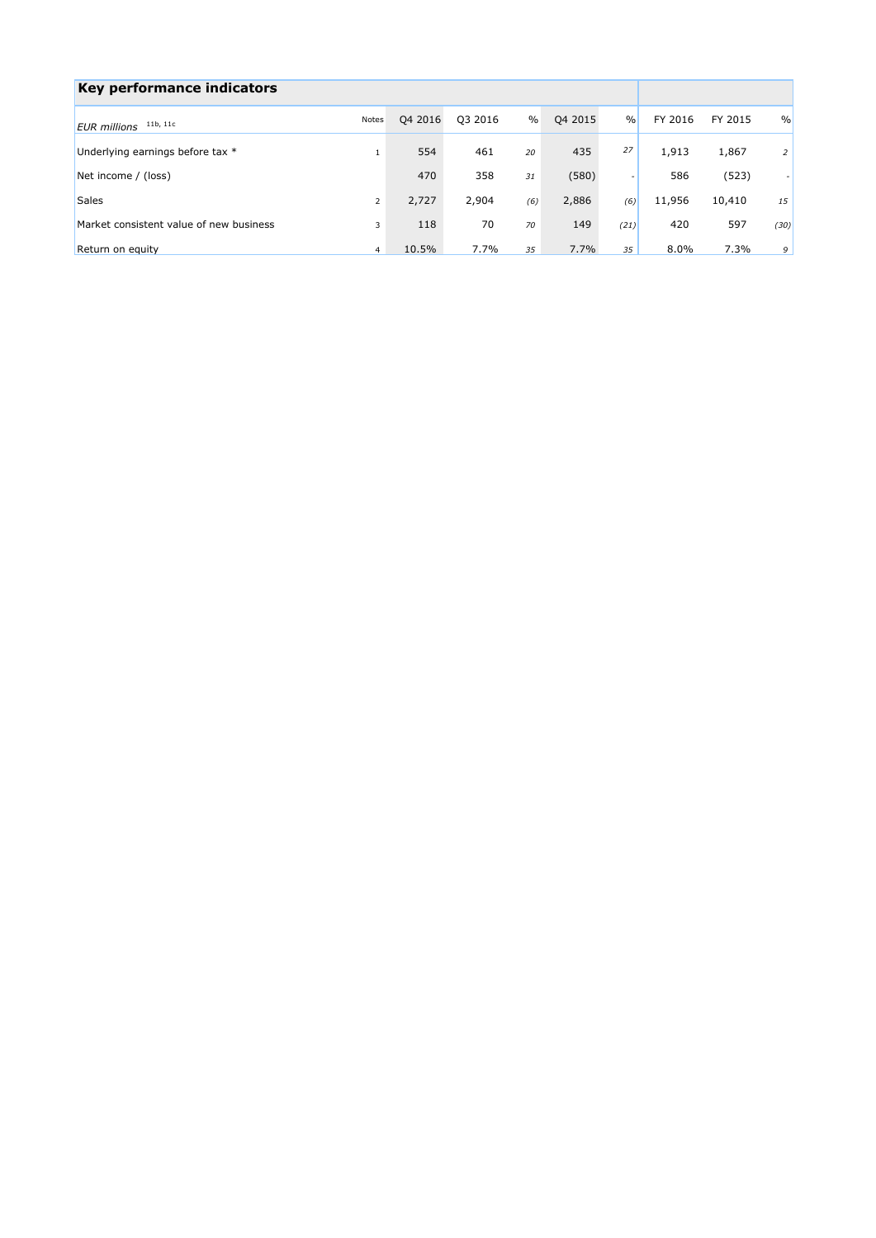| Key performance indicators              |                |         |         |      |         |                          |         |         |                |
|-----------------------------------------|----------------|---------|---------|------|---------|--------------------------|---------|---------|----------------|
| 11b, 11c<br><b>EUR</b> millions         | Notes          | Q4 2016 | Q3 2016 | $\%$ | 04 2015 | $\frac{0}{0}$            | FY 2016 | FY 2015 | $\frac{0}{0}$  |
| Underlying earnings before tax *        |                | 554     | 461     | 20   | 435     | 27                       | 1,913   | 1,867   | $\overline{2}$ |
| Net income / (loss)                     |                | 470     | 358     | 31   | (580)   | $\overline{\phantom{a}}$ | 586     | (523)   |                |
| <b>Sales</b>                            | $\overline{2}$ | 2,727   | 2,904   | (6)  | 2,886   | (6)                      | 11,956  | 10,410  | 15             |
| Market consistent value of new business | 3              | 118     | 70      | 70   | 149     | (21)                     | 420     | 597     | (30)           |
| Return on equity                        | $\overline{4}$ | 10.5%   | 7.7%    | 35   | 7.7%    | 35                       | 8.0%    | 7.3%    | 9 <sub>1</sub> |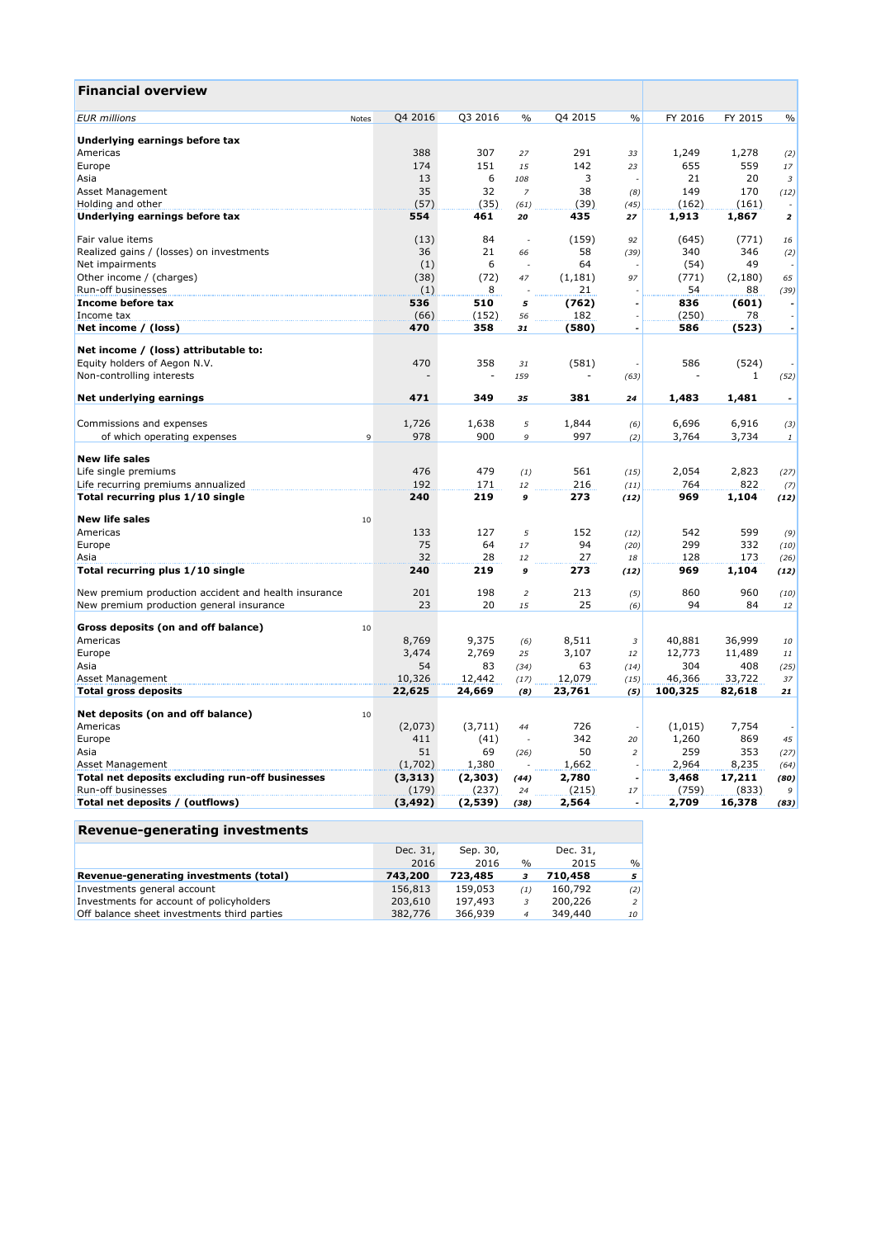| <b>Financial overview</b>                                           |                     |                  |                |                |                |                  |                  |                                  |
|---------------------------------------------------------------------|---------------------|------------------|----------------|----------------|----------------|------------------|------------------|----------------------------------|
| <b>EUR</b> millions<br>Notes                                        | Q4 2016             | Q3 2016          | $\%$           | Q4 2015        | $\frac{0}{0}$  | FY 2016          | FY 2015          | $\frac{0}{0}$                    |
| Underlying earnings before tax                                      |                     |                  |                |                |                |                  |                  |                                  |
| Americas                                                            | 388                 | 307              | 27             | 291            | 33             | 1,249            | 1,278            | (2)                              |
| Europe                                                              | 174                 | 151              | 15             | 142            | 23             | 655              | 559              | 17                               |
| Asia                                                                | 13                  | 6                | 108            | 3              |                | 21               | 20               | $\boldsymbol{\beta}$             |
| Asset Management                                                    | 35                  | 32               | $\overline{z}$ | 38             | (8)            | 149              | 170              | (12)                             |
| Holding and other                                                   | (57)                | (35)             | (61)           | (39)           | (45)           | (162)            | (161)            | ×.                               |
| Underlying earnings before tax                                      | 554                 | 461              | 20             | 435            | 27             | 1,913            | 1,867            | $\overline{\mathbf{z}}$          |
|                                                                     |                     |                  |                |                |                |                  |                  |                                  |
| Fair value items                                                    | (13)                | 84               | ÷,             | (159)          | 92             | (645)            | (771)            | 16                               |
| Realized gains / (losses) on investments                            | 36                  | 21               | 66             | 58             | (39)           | 340              | 346              | (2)                              |
| Net impairments                                                     | (1)                 | 6                |                | 64             |                | (54)             | 49               |                                  |
| Other income / (charges)                                            | (38)                | (72)             | 47             | (1, 181)       | 97             | (771)            | (2,180)          | 65                               |
| Run-off businesses                                                  | (1)                 | 8                |                | 21             |                | 54               | 88               | (39)<br>$\overline{\phantom{0}}$ |
| Income before tax                                                   | 536                 | 510              | 5              | (762)<br>182   |                | 836<br>(250)     | (601)<br>78      |                                  |
| Income tax                                                          | (66)<br>470         | (152)<br>358     | 56<br>31       |                |                | 586              |                  | $\overline{\phantom{a}}$         |
| Net income / (loss)                                                 |                     |                  |                | (580)          |                |                  | (523)            |                                  |
| Net income / (loss) attributable to:                                |                     |                  |                |                |                |                  |                  |                                  |
| Equity holders of Aegon N.V.                                        | 470                 | 358              | 31             | (581)          |                | 586              | (524)            |                                  |
| Non-controlling interests                                           |                     | ÷,               | 159            |                | (63)           |                  | 1                | (52)                             |
| Net underlying earnings                                             | 471                 | 349              | 35             | 381            | 24             | 1,483            | 1,481            |                                  |
|                                                                     |                     |                  |                |                |                |                  |                  |                                  |
| Commissions and expenses                                            | 1,726               | 1,638            | 5              | 1,844          | (6)            | 6,696            | 6,916            | (3)                              |
| of which operating expenses                                         | 978<br>$\mathsf{q}$ | 900              | 9              | 997            | (2)            | 3,764            | 3,734            | $\mathbf{1}$                     |
| <b>New life sales</b>                                               |                     |                  |                |                |                |                  |                  |                                  |
| Life single premiums                                                | 476                 | 479              | (1)            | 561            | (15)           | 2,054            | 2,823            | (27)                             |
| Life recurring premiums annualized                                  | 192                 | 171              | 12             | 216            | (11)           | 764              | 822              | (7)                              |
| Total recurring plus 1/10 single                                    | 240                 | 219              | 9              | 273            | (12)           | 969              | 1,104            | (12)                             |
|                                                                     |                     |                  |                |                |                |                  |                  |                                  |
| <b>New life sales</b>                                               | 10                  |                  |                |                |                |                  |                  |                                  |
| Americas                                                            | 133                 | 127              | 5              | 152            | (12)           | 542              | 599              | (9)                              |
| Europe                                                              | 75                  | 64               | 17             | 94             | (20)           | 299              | 332              | (10)                             |
| Asia                                                                | 32<br>240           | 28               | 12             | 27<br>273      | 18             | 128              | 173              | (26)                             |
| Total recurring plus 1/10 single                                    |                     | 219              | 9              |                | (12)           | 969              | 1,104            | (12)                             |
| New premium production accident and health insurance                | 201                 | 198              | $\overline{2}$ | 213            | (5)            | 860              | 960              | (10)                             |
| New premium production general insurance                            | 23                  | 20               | 15             | 25             | (6)            | 94               | 84               | 12                               |
|                                                                     |                     |                  |                |                |                |                  |                  |                                  |
| Gross deposits (on and off balance)<br>Americas                     | 10                  |                  |                |                | $\overline{3}$ |                  |                  | 10                               |
| Europe                                                              | 8,769<br>3,474      | 9,375<br>2,769   | (6)<br>25      | 8,511<br>3,107 | $12\,$         | 40,881<br>12,773 | 36,999<br>11,489 |                                  |
| Asia                                                                | 54                  | 83               |                | 63             |                | 304              | 408              | $11\,$                           |
| Asset Management                                                    | 10,326              | 12,442           | (34)<br>(17)   | 12,079         | (14)<br>(15)   | 46,366           | 33,722           | (25)<br>37                       |
| <b>Total gross deposits</b>                                         | 22,625              | 24,669           | (8)            | 23,761         | (5)            | 100,325          | 82,618           | 21                               |
|                                                                     |                     |                  |                |                |                |                  |                  |                                  |
| Net deposits (on and off balance)                                   | 10                  |                  |                |                |                |                  |                  |                                  |
| Americas                                                            | (2,073)             | (3,711)          | 44             | 726<br>342     |                | (1,015)          | 7,754            |                                  |
| Europe                                                              | 411<br>51           | (41)             |                | 50             | 20             | 1,260<br>259     | 869<br>353       | 45                               |
| Asia                                                                | (1,702)             | 69               | (26)           |                | $\overline{c}$ | 2,964            | 8,235            | (27)                             |
| Asset Management<br>Total net deposits excluding run-off businesses | (3, 313)            | 1,380<br>(2,303) | (44)           | 1,662<br>2,780 |                | 3,468            | 17,211           | (64)<br>(80)                     |
| Run-off businesses                                                  | (179)               | (237)            | 24             | (215)          | 17             | (759)            | (833)            | 9                                |
| Total net deposits / (outflows)                                     | (3, 492)            | (2,539)          | (38)           | 2,564          |                | 2,709            | 16,378           | (83)                             |
|                                                                     |                     |                  |                |                |                |                  |                  |                                  |

| Revenue-generating investments |  |
|--------------------------------|--|
|--------------------------------|--|

|                                             | Dec. 31, | Sep. 30, |               | Dec. 31, |                          |
|---------------------------------------------|----------|----------|---------------|----------|--------------------------|
|                                             | 2016     | 2016     | $\frac{0}{0}$ | 2015     | $\frac{0}{0}$            |
| Revenue-generating investments (total)      | 743,200  | 723,485  | з             | 710,458  | 5                        |
| Investments general account                 | 156,813  | 159,053  | (1)           | 160,792  | (2)                      |
| Investments for account of policyholders    | 203,610  | 197,493  | 3             | 200,226  | $\overline{\phantom{a}}$ |
| Off balance sheet investments third parties | 382,776  | 366,939  | 4             | 349,440  | 10                       |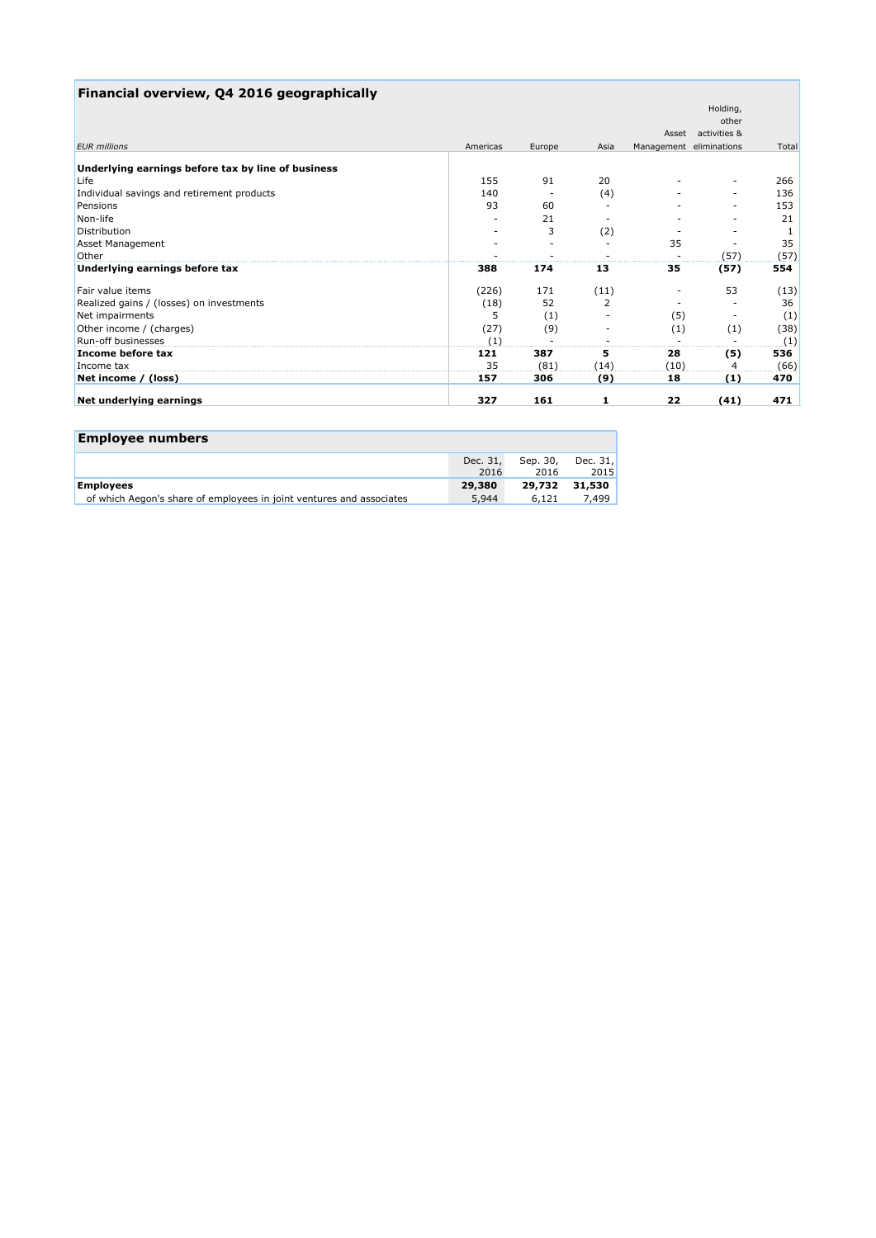| Financial overview, Q4 2016 geographically         |          |        |      |                         |                                   |       |
|----------------------------------------------------|----------|--------|------|-------------------------|-----------------------------------|-------|
|                                                    |          |        |      | Asset                   | Holding,<br>other<br>activities & |       |
| <b>EUR</b> millions                                | Americas | Europe | Asia | Management eliminations |                                   | Total |
| Underlying earnings before tax by line of business |          |        |      |                         |                                   |       |
| Life                                               | 155      | 91     | 20   |                         |                                   | 266   |
| Individual savings and retirement products         | 140      |        | (4)  |                         |                                   | 136   |
| Pensions                                           | 93       | 60     |      |                         |                                   | 153   |
| Non-life                                           |          | 21     |      |                         |                                   | 21    |
| Distribution                                       |          | 3      | (2)  |                         |                                   |       |
| <b>Asset Management</b>                            |          |        |      | 35                      |                                   | 35    |
| Other                                              |          |        |      |                         | (57)                              | (57)  |
| Underlying earnings before tax                     | 388      | 174    | 13   | 35                      | (57)                              | 554   |
| Fair value items                                   | (226)    | 171    | (11) |                         | 53                                | (13)  |
| Realized gains / (losses) on investments           | (18)     | 52     | 2    |                         |                                   | 36    |
| Net impairments                                    | 5        | (1)    |      | (5)                     |                                   | (1)   |
| Other income / (charges)                           | (27)     | (9)    |      | (1)                     | (1)                               | (38)  |
| Run-off businesses                                 | (1)      |        |      |                         |                                   | (1)   |
| Income before tax                                  | 121      | 387    | 5    | 28                      | (5)                               | 536   |
| Income tax                                         | 35       | (81)   | (14) | (10)                    | 4                                 | (66)  |
| Net income / (loss)                                | 157      | 306    | (9)  | 18                      | (1)                               | 470   |
| Net underlying earnings                            | 327      | 161    | 1    | 22                      | (41)                              | 471   |

| <b>Employee numbers</b>                                              |                  |                  |                  |
|----------------------------------------------------------------------|------------------|------------------|------------------|
|                                                                      | Dec. 31,<br>2016 | Sep. 30,<br>2016 | Dec. 31.<br>2015 |
| <b>Employees</b>                                                     | 29.380           | 29,732           | 31.530           |
| of which Aegon's share of employees in joint ventures and associates | 5,944            | 6.121            | 7.499            |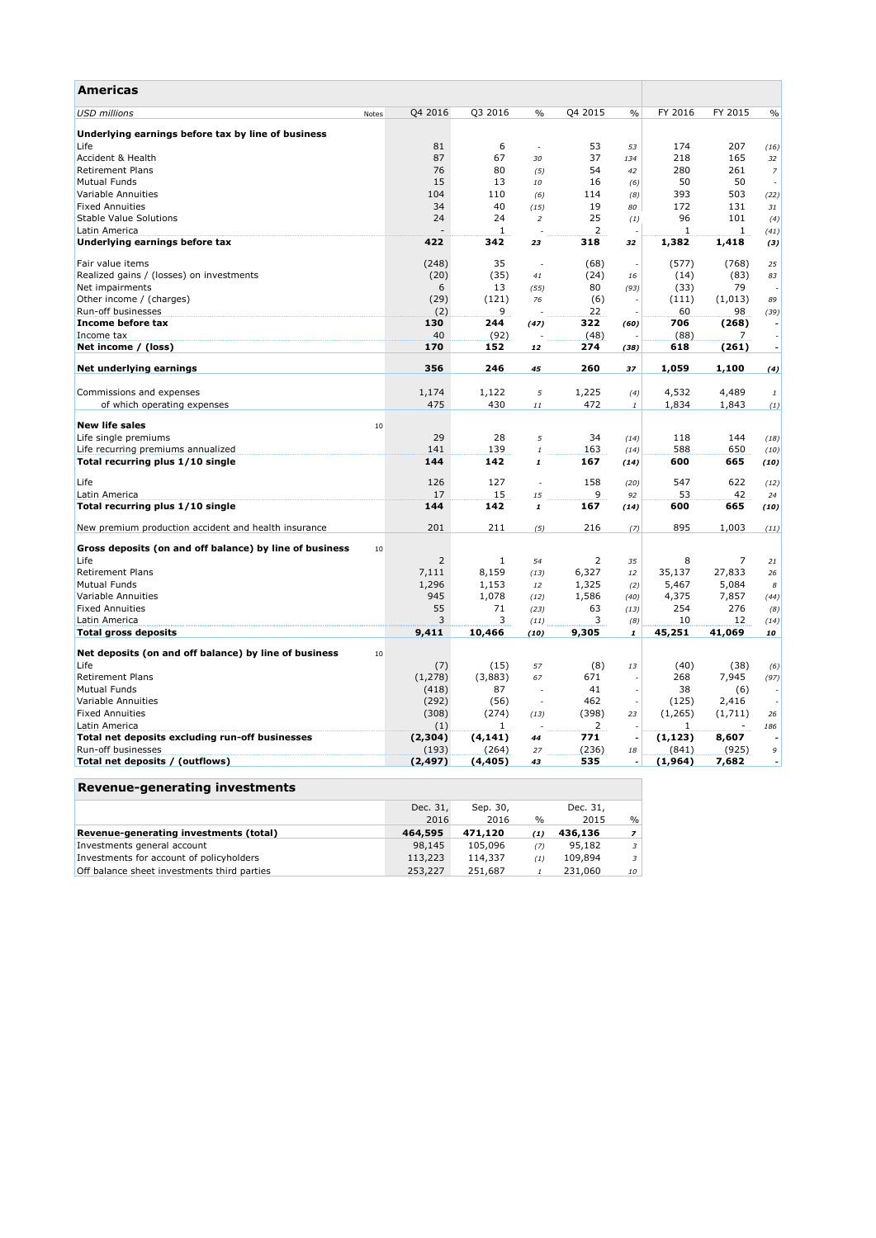| <b>Americas</b>                                         |       |                |          |                          |         |               |          |         |                          |
|---------------------------------------------------------|-------|----------------|----------|--------------------------|---------|---------------|----------|---------|--------------------------|
| <b>USD millions</b>                                     | Notes | Q4 2016        | Q3 2016  | $\frac{0}{0}$            | Q4 2015 | $\frac{0}{0}$ | FY 2016  | FY 2015 | $\%$                     |
| Underlying earnings before tax by line of business      |       |                |          |                          |         |               |          |         |                          |
| Life                                                    |       | 81             | 6        |                          | 53      | 53            | 174      | 207     | (16)                     |
| Accident & Health                                       |       | 87             | 67       | 30                       | 37      | 134           | 218      | 165     | 32                       |
| <b>Retirement Plans</b>                                 |       | 76             | 80       | (5)                      | 54      | 42            | 280      | 261     | $\overline{z}$           |
| <b>Mutual Funds</b>                                     |       | 15             | 13       | 10                       | 16      | (6)           | 50       | 50      |                          |
| Variable Annuities                                      |       | 104            | 110      | (6)                      | 114     | (8)           | 393      | 503     | (22)                     |
| <b>Fixed Annuities</b>                                  |       | 34             | 40       | (15)                     | 19      | 80            | 172      | 131     | 31                       |
| <b>Stable Value Solutions</b>                           |       | 24             | 24       | $\overline{2}$           | 25      | (1)           | 96       | 101     | (4)                      |
| Latin America                                           |       |                | 1        |                          | 2       |               | 1        | 1       | (41)                     |
| Underlying earnings before tax                          |       | 422            | 342      | 23                       | 318     | 32            | 1,382    | 1,418   | (3)                      |
| Fair value items                                        |       | (248)          | 35       | ÷,                       | (68)    |               | (577)    | (768)   | 25                       |
| Realized gains / (losses) on investments                |       | (20)           | (35)     | 41                       | (24)    | 16            | (14)     | (83)    | 83                       |
| Net impairments                                         |       | 6              | 13       |                          | 80      |               | (33)     | 79      |                          |
|                                                         |       |                |          | (55)<br>76               |         | (93)          |          |         |                          |
| Other income / (charges)                                |       | (29)           | (121)    |                          | (6)     |               | (111)    | (1,013) | 89                       |
| Run-off businesses                                      |       | (2)            | 9        |                          | 22      |               | 60       | 98      | (39)                     |
| Income before tax                                       |       | 130            | 244      | (47)                     | 322     | (60)          | 706      | (268)   | $\overline{\phantom{a}}$ |
| Income tax                                              |       | 40             | (92)     |                          | (48)    |               | (88)     | 7       |                          |
| Net income / (loss)                                     |       | 170            | 152      | 12                       | 274     | (38)          | 618      | (261)   | $\blacksquare$           |
| Net underlying earnings                                 |       | 356            | 246      | 45                       | 260     | 37            | 1,059    | 1,100   | (4)                      |
| Commissions and expenses                                |       | 1,174          | 1,122    | 5                        | 1,225   | (4)           | 4,532    | 4,489   | $\it 1$                  |
|                                                         |       | 475            | 430      |                          | 472     | $\mathbf{1}$  |          |         |                          |
| of which operating expenses                             |       |                |          | 11                       |         |               | 1,834    | 1,843   | (1)                      |
| <b>New life sales</b>                                   | 10    |                |          |                          |         |               |          |         |                          |
| Life single premiums                                    |       | 29             | 28       | 5                        | 34      | (14)          | 118      | 144     | (18)                     |
| Life recurring premiums annualized                      |       | 141            | 139      | $\it 1$                  | 163     | (14)          | 588      | 650     | (10)                     |
| Total recurring plus 1/10 single                        |       | 144            | 142      | $\mathbf{1}$             | 167     | (14)          | 600      | 665     | (10)                     |
|                                                         |       |                |          |                          |         |               |          |         |                          |
| Life                                                    |       | 126            | 127      |                          | 158     | (20)          | 547      | 622     | (12)                     |
| Latin America                                           |       | 17             | 15       | 15                       | 9       | 92            | 53       | 42      | 24                       |
| Total recurring plus 1/10 single                        |       | 144            | 142      | $\pmb{1}$                | 167     | (14)          | 600      | 665     | (10)                     |
| New premium production accident and health insurance    |       | 201            | 211      | (5)                      | 216     | (7)           | 895      | 1,003   | (11)                     |
| Gross deposits (on and off balance) by line of business | 10    |                |          |                          |         |               |          |         |                          |
| Life                                                    |       | $\overline{2}$ | 1        | 54                       | 2       | 35            | 8        | 7       | 21                       |
| <b>Retirement Plans</b>                                 |       | 7,111          | 8,159    |                          | 6,327   |               | 35,137   | 27,833  |                          |
| <b>Mutual Funds</b>                                     |       | 1,296          |          | (13)                     |         | 12            |          | 5,084   | 26                       |
|                                                         |       |                | 1,153    | 12                       | 1,325   | (2)           | 5,467    |         | 8                        |
| Variable Annuities                                      |       | 945            | 1,078    | (12)                     | 1,586   | (40)          | 4,375    | 7,857   | (44)                     |
| <b>Fixed Annuities</b>                                  |       | 55             | 71       | (23)                     | 63      | (13)          | 254      | 276     | (8)                      |
| Latin America                                           |       | 3              | 3        | (11)                     | 3       | (8)           | 10       | 12      | (14)                     |
| <b>Total gross deposits</b>                             |       | 9,411          | 10,466   | (10)                     | 9,305   | 1             | 45,251   | 41,069  | 10                       |
| Net deposits (on and off balance) by line of business   | 10    |                |          |                          |         |               |          |         |                          |
| Life                                                    |       | (7)            | (15)     | 57                       | (8)     | 13            | (40)     | (38)    | (6)                      |
| <b>Retirement Plans</b>                                 |       | (1,278)        | (3,883)  | 67                       | 671     |               | 268      | 7,945   | (97)                     |
| <b>Mutual Funds</b>                                     |       | (418)          | 87       |                          | 41      |               | 38       | (6)     |                          |
| Variable Annuities                                      |       | (292)          | (56)     | $\overline{\phantom{a}}$ | 462     |               | (125)    | 2,416   | ÷,                       |
| <b>Fixed Annuities</b>                                  |       | (308)          | (274)    | (13)                     | (398)   | 23            | (1,265)  | (1,711) | 26                       |
| Latin America                                           |       | (1)            | -1       |                          | 2       |               | 1        |         | 186                      |
| Total net deposits excluding run-off businesses         |       | (2,304)        | (4, 141) | 44                       | 771     |               | (1, 123) | 8,607   | J.                       |
| Run-off businesses                                      |       | (193)          | (264)    |                          | (236)   |               | (841)    | (925)   | 9                        |
| Total net deposits / (outflows)                         |       | (2, 497)       | (4, 405) | 27<br>43                 | 535     | 18            | (1, 964) | 7,682   |                          |
|                                                         |       |                |          |                          |         |               |          |         |                          |
| Revenue-generating investments                          |       |                |          |                          |         |               |          |         |                          |

|                                             | Dec. 31, | Sep. 30, |               | Dec. 31, |               |
|---------------------------------------------|----------|----------|---------------|----------|---------------|
|                                             | 2016     | 2016     | $\frac{0}{0}$ | 2015     | $\frac{0}{0}$ |
| Revenue-generating investments (total)      | 464,595  | 471.120  | (1)           | 436,136  |               |
| Investments general account                 | 98,145   | 105,096  | (7)           | 95,182   | 3             |
| Investments for account of policyholders    | 113,223  | 114,337  | (1)           | 109,894  | 3             |
| Off balance sheet investments third parties | 253,227  | 251,687  |               | 231,060  | 10            |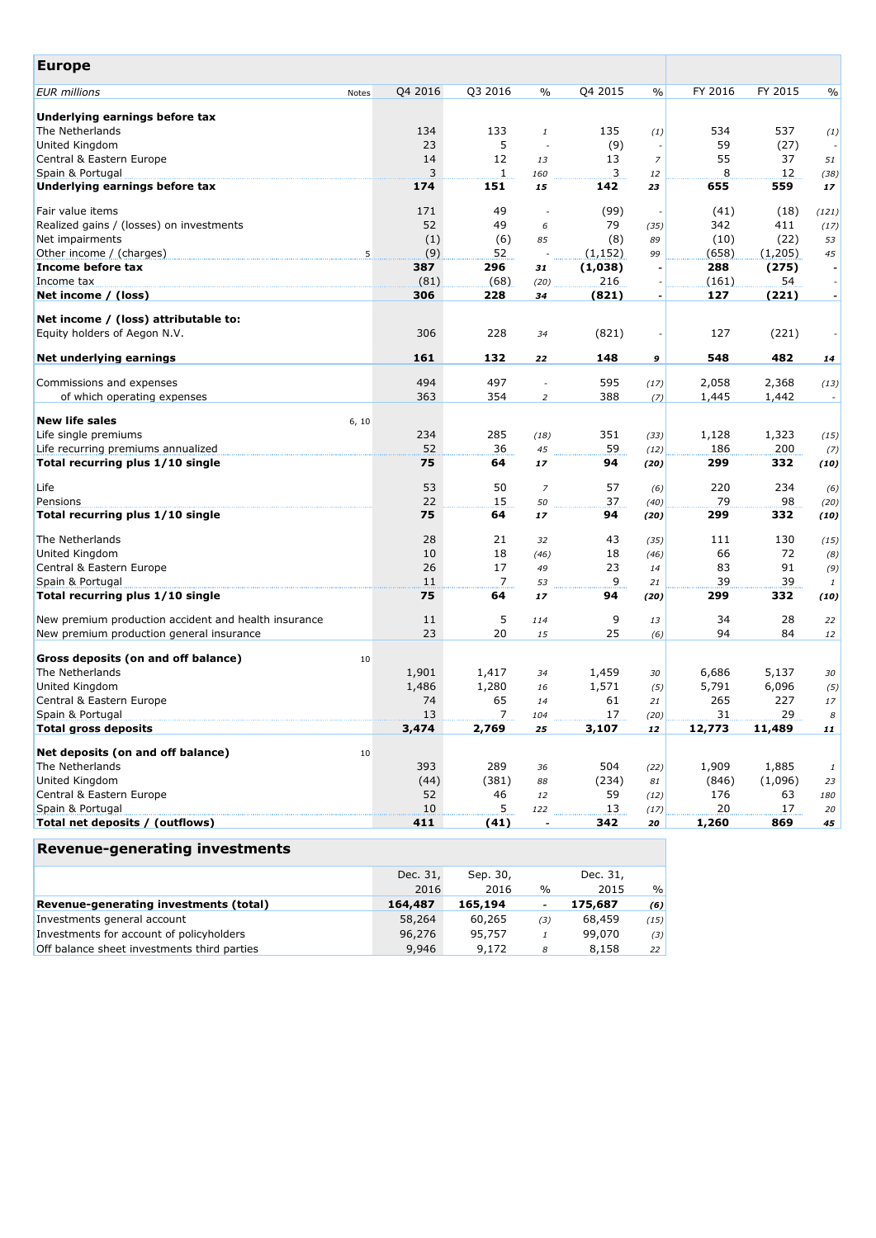| <b>Europe</b>                                        |         |              |                       |          |                          |         |         |                          |
|------------------------------------------------------|---------|--------------|-----------------------|----------|--------------------------|---------|---------|--------------------------|
| <b>EUR</b> millions<br>Notes                         | Q4 2016 | Q3 2016      | $\frac{0}{0}$         | Q4 2015  | $\frac{0}{0}$            | FY 2016 | FY 2015 | $\%$                     |
| Underlying earnings before tax                       |         |              |                       |          |                          |         |         |                          |
| The Netherlands                                      | 134     | 133          | 1                     | 135      | (1)                      | 534     | 537     | (1)                      |
| United Kingdom                                       | 23      | 5            |                       | (9)      |                          | 59      | (27)    |                          |
| Central & Eastern Europe                             | 14      | 12           | 13                    | 13       | $\overline{z}$           | 55      | 37      | 51                       |
| Spain & Portugal                                     | 3       | $\mathbf{1}$ | 160                   | 3        | 12                       | 8       | 12      | (38)                     |
| Underlying earnings before tax                       | 174     | 151          | 15                    | 142      | 23                       | 655     | 559     | 17                       |
| Fair value items                                     | 171     | 49           |                       | (99)     |                          | (41)    | (18)    | (121)                    |
| Realized gains / (losses) on investments             | 52      | 49           | 6                     | 79       | (35)                     | 342     | 411     | (17)                     |
| Net impairments                                      | (1)     | (6)          | 85                    | (8)      | 89                       | (10)    | (22)    | 53                       |
| Other income / (charges)<br>5                        | (9)     | 52           |                       | (1, 152) | 99                       | (658)   | (1,205) | 45                       |
| Income before tax                                    | 387     | 296          | 31                    | (1,038)  |                          | 288     | (275)   | $\overline{\phantom{a}}$ |
| Income tax                                           | (81)    | (68)         | (20)                  | 216      |                          | (161)   | 54      |                          |
| Net income / (loss)                                  | 306     | 228          | 34                    | (821)    | $\overline{\phantom{m}}$ | 127     | (221)   | $\overline{\phantom{a}}$ |
| Net income / (loss) attributable to:                 |         |              |                       |          |                          |         |         |                          |
| Equity holders of Aegon N.V.                         | 306     | 228          | 34                    | (821)    |                          | 127     | (221)   | $\overline{\phantom{a}}$ |
| Net underlying earnings                              | 161     | 132          | 22                    | 148      | 9                        | 548     | 482     | 14                       |
| Commissions and expenses                             | 494     | 497          |                       | 595      | (17)                     | 2,058   | 2,368   | (13)                     |
| of which operating expenses                          | 363     | 354          | $\overline{c}$        | 388      | (7)                      | 1,445   | 1,442   | $\overline{\phantom{a}}$ |
| <b>New life sales</b><br>6, 10                       |         |              |                       |          |                          |         |         |                          |
| Life single premiums                                 | 234     | 285          | (18)                  | 351      | (33)                     | 1,128   | 1,323   | (15)                     |
| Life recurring premiums annualized                   | 52      | 36           | 45                    | 59       | (12)                     | 186     | 200     | (7)                      |
| Total recurring plus 1/10 single                     | 75      | 64           | 17                    | 94       | (20)                     | 299     | 332     | (10)                     |
| Life                                                 | 53      | 50           | $\overline{z}$        | 57       | (6)                      | 220     | 234     | (6)                      |
| Pensions                                             | 22      | 15           | 50                    | 37       | (40)                     | 79      | 98      | (20)                     |
| Total recurring plus 1/10 single                     | 75      | 64           | 17                    | 94       | (20)                     | 299     | 332     | (10)                     |
| The Netherlands                                      | 28      | 21           | 32                    | 43       | (35)                     | 111     | 130     | (15)                     |
| United Kingdom                                       | 10      | 18           | (46)                  | 18       | (46)                     | 66      | 72      | (8)                      |
| Central & Eastern Europe                             | 26      | 17           | 49                    | 23       | 14                       | 83      | 91      | (9)                      |
| Spain & Portugal                                     | 11      | 7            | 53                    | 9        | 21                       | 39      | 39      | $\mathbf{1}$             |
| Total recurring plus 1/10 single                     | 75      | 64           | 17                    | 94       | (20)                     | 299     | 332     | (10)                     |
| New premium production accident and health insurance | 11      | 5            | 114                   | 9        | 13                       | 34      | 28      | 22                       |
| New premium production general insurance             | 23      | 20           | 15                    | 25       | (6)                      | 94      | 84      | 12                       |
| Gross deposits (on and off balance)<br>10            |         |              |                       |          |                          |         |         |                          |
| The Netherlands                                      | 1,901   | 1,417        | 34                    | 1,459    | 30                       | 6,686   | 5,137   | 30                       |
| United Kingdom                                       | 1,486   | 1,280        | 16                    | 1,571    | (5)                      | 5,791   | 6,096   | (5)                      |
| Central & Eastern Europe                             | 74      | 65           | 14                    | 61       | 21                       | 265     | 227     | 17                       |
| Spain & Portugal                                     | 13      | 7            | 104                   | 17       | (20)                     | 31      | 29      | 8                        |
| <b>Total gross deposits</b>                          | 3,474   | 2,769        | 25                    | 3,107    | 12                       | 12,773  | 11,489  | 11                       |
| Net deposits (on and off balance)<br>10              |         |              |                       |          |                          |         |         |                          |
| The Netherlands                                      | 393     | 289          | 36                    | 504      | (22)                     | 1,909   | 1,885   | $\it 1$                  |
| United Kingdom                                       | (44)    | (381)        | 88                    | (234)    | 81                       | (846)   | (1,096) | 23                       |
| Central & Eastern Europe                             | 52      | 46           | 12                    | 59       | (12)                     | 176     | 63      | 180                      |
| Spain & Portugal                                     | 10      | 5            | 122                   | 13       | (17)                     | 20      | 17      | 20                       |
| Total net deposits / (outflows)                      | 411     | (41)         | $\tilde{\phantom{a}}$ | 342      | 20                       | 1,260   | 869     | 45                       |

# **Revenue-generating investments**

|                                             | Dec. 31, | Sep. 30, |               | Dec. 31, |               |
|---------------------------------------------|----------|----------|---------------|----------|---------------|
|                                             | 2016     | 2016     | $\frac{0}{0}$ | 2015     | $\frac{9}{6}$ |
| Revenue-generating investments (total)      | 164,487  | 165,194  | ۰             | 175,687  | (6)           |
| Investments general account                 | 58,264   | 60,265   | (3)           | 68,459   | (15)          |
| Investments for account of policyholders    | 96,276   | 95,757   | 1             | 99,070   | (3)           |
| Off balance sheet investments third parties | 9,946    | 9,172    | 8             | 8,158    | 22            |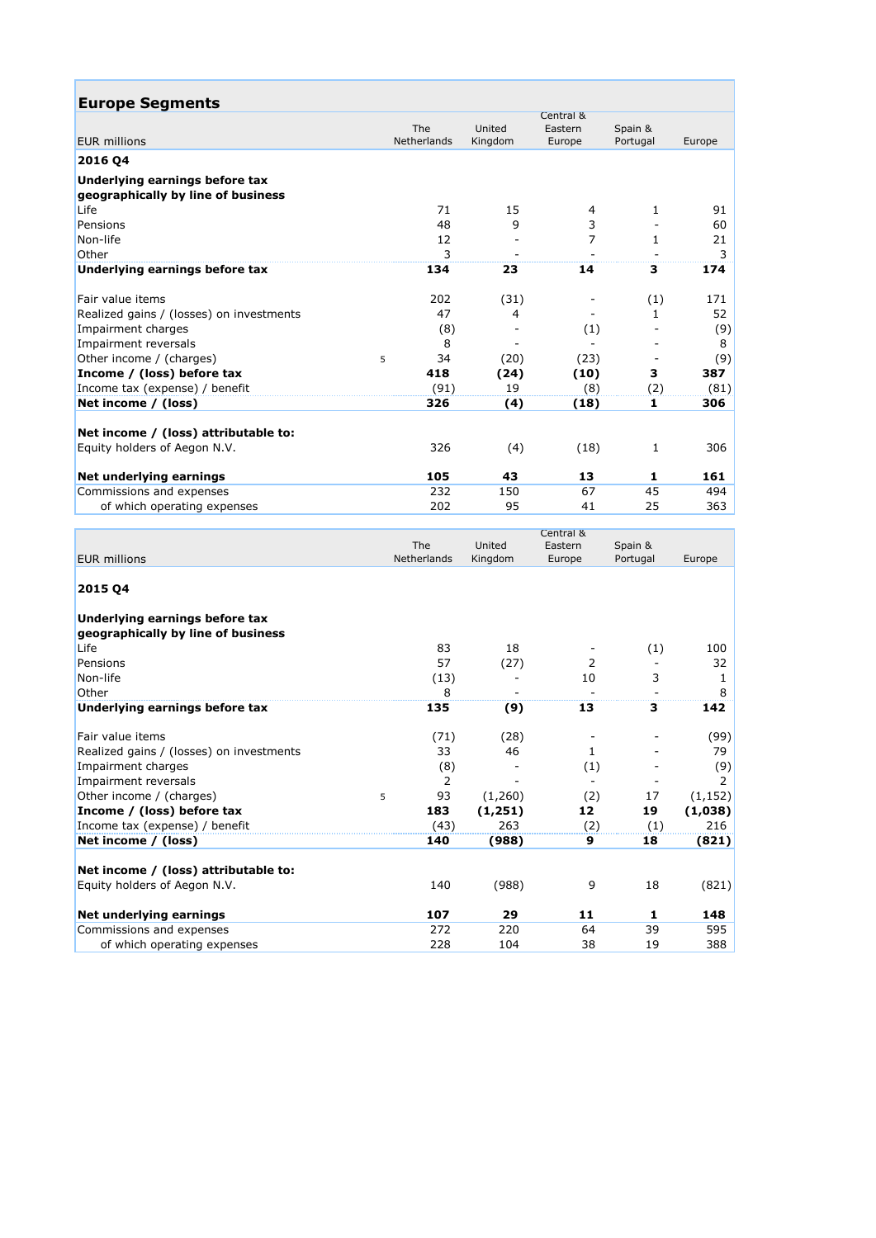| <b>Europe Segments</b>                                               |                    |                   |                          |                          |                                         |
|----------------------------------------------------------------------|--------------------|-------------------|--------------------------|--------------------------|-----------------------------------------|
|                                                                      |                    |                   | Central &                |                          |                                         |
|                                                                      | The<br>Netherlands | United<br>Kingdom | Eastern<br>Europe        | Spain &<br>Portugal      | Europe                                  |
| <b>EUR millions</b><br>2016 Q4                                       |                    |                   |                          |                          |                                         |
|                                                                      |                    |                   |                          |                          |                                         |
| Underlying earnings before tax                                       |                    |                   |                          |                          |                                         |
| geographically by line of business<br>Life                           | 71                 |                   |                          |                          |                                         |
| Pensions                                                             | 48                 | 15<br>9           | 4<br>3                   | 1                        | 91<br>60                                |
| Non-life                                                             | 12                 |                   | 7                        | 1                        | 21                                      |
| Other                                                                | 3                  |                   |                          |                          | 3                                       |
| Underlying earnings before tax                                       | 134                | 23                | 14                       | з                        | 174                                     |
|                                                                      |                    |                   |                          |                          |                                         |
| Fair value items                                                     | 202                | (31)              |                          | (1)                      | 171                                     |
| Realized gains / (losses) on investments                             | 47                 | 4                 |                          | 1                        | 52                                      |
| Impairment charges                                                   | (8)                |                   | (1)                      |                          | (9)                                     |
| Impairment reversals                                                 | 8                  |                   |                          |                          | 8                                       |
| Other income / (charges)                                             | 34<br>5            | (20)              | (23)                     | $\overline{\phantom{a}}$ | (9)                                     |
| Income / (loss) before tax                                           | 418                | (24)              | (10)                     | з                        | 387                                     |
| Income tax (expense) / benefit                                       | (91)               | 19                | (8)                      | (2)                      | (81)                                    |
| Net income / (loss)                                                  | 326                | (4)               | (18)                     | 1                        | 306                                     |
|                                                                      |                    |                   |                          |                          |                                         |
| Net income / (loss) attributable to:<br>Equity holders of Aegon N.V. | 326                | (4)               | (18)                     | 1                        | 306                                     |
|                                                                      |                    |                   |                          |                          |                                         |
| Net underlying earnings                                              | 105                | 43                | 13                       | 1                        | 161                                     |
| Commissions and expenses                                             | 232                | 150               | 67                       | 45                       | 494                                     |
| of which operating expenses                                          | 202                | 95                | 41                       | 25                       | 363                                     |
|                                                                      |                    |                   |                          |                          |                                         |
|                                                                      |                    |                   |                          |                          |                                         |
|                                                                      | The                | United            | Central &<br>Eastern     | Spain &                  |                                         |
| <b>EUR millions</b>                                                  | Netherlands        | Kingdom           | Europe                   | Portugal                 | Europe                                  |
|                                                                      |                    |                   |                          |                          |                                         |
| 2015 Q4                                                              |                    |                   |                          |                          |                                         |
| Underlying earnings before tax                                       |                    |                   |                          |                          |                                         |
| geographically by line of business                                   |                    |                   |                          |                          |                                         |
| Life                                                                 | 83                 | 18                |                          | (1)                      | 100                                     |
| Pensions                                                             | 57                 | (27)              | 2                        |                          | 32                                      |
| Non-life                                                             | (13)               |                   | 10                       | 3                        | 1                                       |
| Other                                                                | 8                  |                   |                          |                          | 8                                       |
| Underlying earnings before tax                                       | 135                | (9)               | 13                       | з                        | 142                                     |
|                                                                      |                    |                   |                          |                          |                                         |
| Fair value items                                                     | (71)               | (28)              |                          |                          |                                         |
| Realized gains / (losses) on investments                             | 33                 | 46                | $\mathbf 1$              |                          | 79                                      |
| Impairment charges                                                   | (8)                |                   | (1)                      |                          | (99)                                    |
| Impairment reversals                                                 | 2                  |                   | $\overline{\phantom{a}}$ |                          | 2                                       |
| Other income / (charges)                                             | 93<br>5            | (1,260)           | (2)                      | 17                       | (9)<br>(1, 152)                         |
| Income / (loss) before tax                                           | 183                | (1, 251)          | 12                       | 19                       |                                         |
| Income tax (expense) / benefit                                       | (43)               | 263               | (2)                      | (1)                      | 216                                     |
| Net income / (loss)                                                  | 140                | (988)             | 9                        | 18                       |                                         |
|                                                                      |                    |                   |                          |                          |                                         |
| Net income / (loss) attributable to:<br>Equity holders of Aegon N.V. | 140                | (988)             | 9                        | 18                       |                                         |
|                                                                      |                    |                   |                          |                          |                                         |
| Net underlying earnings                                              | 107                | 29                | 11                       | 1                        | 148                                     |
| Commissions and expenses<br>of which operating expenses              | 272<br>228         | 220<br>104        | 64<br>38                 | 39<br>19                 | (1,038)<br>(821)<br>(821)<br>595<br>388 |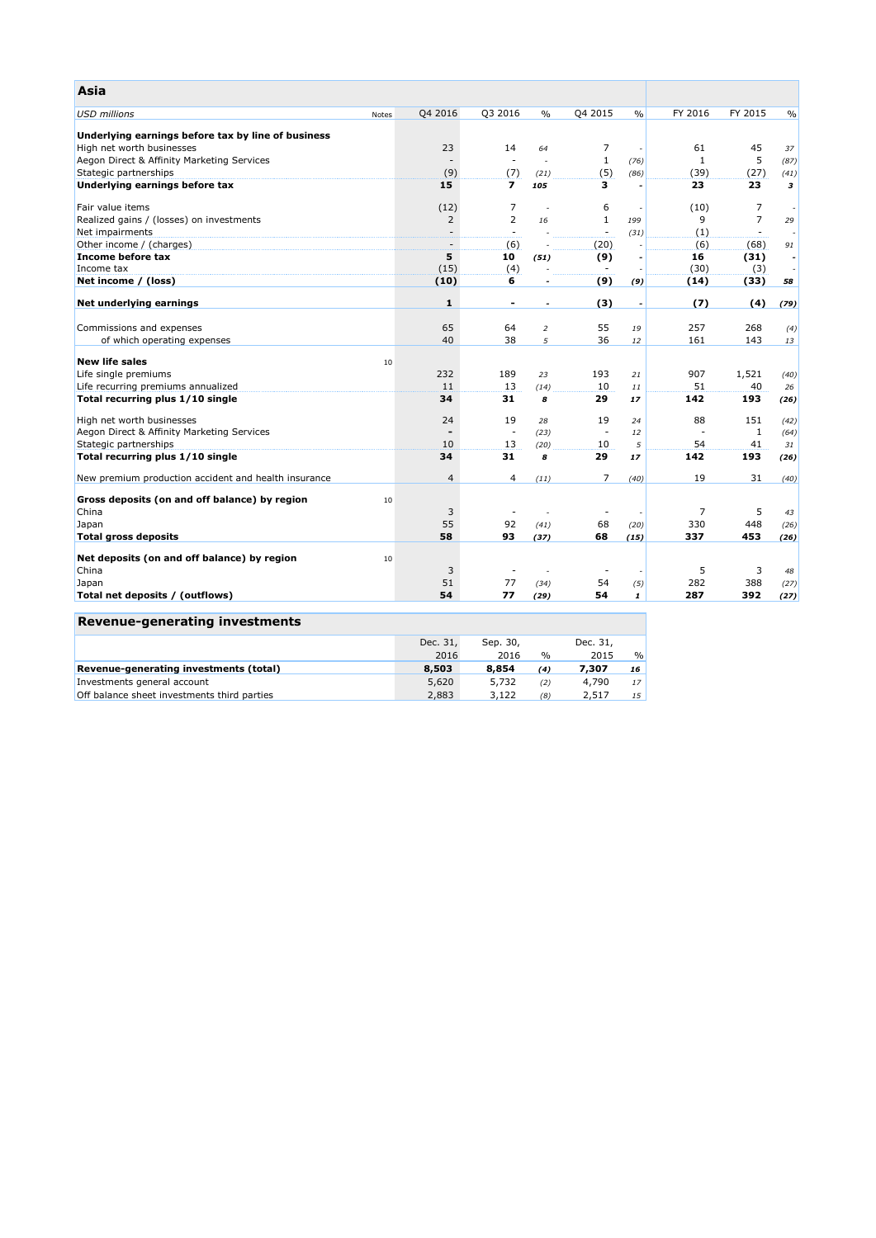| Asia                                                 |       |                          |                          |                |                          |                          |              |                |                |
|------------------------------------------------------|-------|--------------------------|--------------------------|----------------|--------------------------|--------------------------|--------------|----------------|----------------|
| <b>USD millions</b>                                  | Notes | Q4 2016                  | Q3 2016                  | $\frac{0}{0}$  | Q4 2015                  | $\%$                     | FY 2016      | FY 2015        | $\frac{0}{0}$  |
| Underlying earnings before tax by line of business   |       |                          |                          |                |                          |                          |              |                |                |
| High net worth businesses                            |       | 23                       | 14                       | 64             | 7                        |                          | 61           | 45             | 37             |
| Aegon Direct & Affinity Marketing Services           |       |                          | $\sim$                   |                | $\mathbf{1}$             | (76)                     | $\mathbf{1}$ | 5              | (87)           |
| Stategic partnerships                                |       | (9)                      | (7)                      | (21)           | (5)                      | (86)                     | (39)         | (27)           | (41)           |
| Underlying earnings before tax                       |       | 15                       | 7                        | 105            | з                        |                          | 23           | 23             | 3              |
| Fair value items                                     |       | (12)                     | $\overline{7}$           |                | 6                        |                          | (10)         | 7              | ÷.             |
| Realized gains / (losses) on investments             |       | 2                        | $\overline{2}$           | 16             | 1                        | 199                      | 9            | $\overline{7}$ | 29             |
| Net impairments                                      |       |                          | ÷                        |                | ÷                        | (31)                     | (1)          | $\sim$         | $\sim$         |
| Other income / (charges)                             |       | $\overline{\phantom{a}}$ | (6)                      |                | (20)                     |                          | (6)          | (68)           | 91             |
| Income before tax                                    |       | 5                        | 10                       | (51)           | (9)                      |                          | 16           | (31)           | $\blacksquare$ |
| Income tax                                           |       | (15)                     | (4)                      |                |                          |                          | (30)         | (3)            | $\sim$         |
| Net income / (loss)                                  |       | (10)                     | 6                        |                | (9)                      | (9)                      | (14)         | (33)           | 58             |
| Net underlying earnings                              |       | $\mathbf{1}$             | $\blacksquare$           |                | (3)                      | $\overline{\phantom{a}}$ | (7)          | (4)            | (79)           |
| Commissions and expenses                             |       | 65                       | 64                       | $\overline{a}$ | 55                       | 19                       | 257          | 268            | (4)            |
| of which operating expenses                          |       | 40                       | 38                       | 5              | 36                       | 12                       | 161          | 143            | 13             |
| <b>New life sales</b>                                | 10    |                          |                          |                |                          |                          |              |                |                |
| Life single premiums                                 |       | 232                      | 189                      | 23             | 193                      | 21                       | 907          | 1,521          | (40)           |
| Life recurring premiums annualized                   |       | 11                       | 13                       | (14)           | 10                       | 11                       | 51           | 40             | 26             |
| Total recurring plus 1/10 single                     |       | 34                       | 31                       | 8              | 29                       | 17                       | 142          | 193            | (26)           |
| High net worth businesses                            |       | 24                       | 19                       | 28             | 19                       | 24                       | 88           | 151            | (42)           |
| Aegon Direct & Affinity Marketing Services           |       |                          | $\overline{\phantom{a}}$ | (23)           | $\overline{\phantom{a}}$ | 12                       |              | 1              | (64)           |
| Stategic partnerships                                |       | 10                       | 13                       | (20)           | 10                       | 5                        | 54           | 41             | 31             |
| Total recurring plus 1/10 single                     |       | 34                       | 31                       | 8              | 29                       | 17                       | 142          | 193            | (26)           |
| New premium production accident and health insurance |       | $\overline{4}$           | 4                        | (11)           | 7                        | (40)                     | 19           | 31             | (40)           |
| Gross deposits (on and off balance) by region        | 10    |                          |                          |                |                          |                          |              |                |                |
| China                                                |       | 3                        |                          |                |                          |                          | 7            | 5              | 43             |
| Japan                                                |       | 55                       | 92                       | (41)           | 68                       | (20)                     | 330          | 448            | (26)           |
| <b>Total gross deposits</b>                          |       | 58                       | 93                       | (37)           | 68                       | (15)                     | 337          | 453            | (26)           |
| Net deposits (on and off balance) by region          | 10    |                          |                          |                |                          |                          |              |                |                |
| China                                                |       | 3                        |                          |                |                          |                          | 5            | 3              | 48             |
| Japan                                                |       | 51                       | 77                       | (34)           | 54                       | (5)                      | 282          | 388            | (27)           |
| Total net deposits / (outflows)                      |       | 54                       | 77                       | (29)           | 54                       | $\mathbf{1}$             | 287          | 392            | (27)           |
| <b>Revenue-generating investments</b>                |       |                          |                          |                |                          |                          |              |                |                |

|                                             | Dec. 31, | Sep. 30, |               | Dec. 31, |      |
|---------------------------------------------|----------|----------|---------------|----------|------|
|                                             | 2016     | 2016     | $\frac{1}{2}$ | 2015     | $\%$ |
| Revenue-generating investments (total)      | 8,503    | 8.854    | (4)           | 7.307    | 16   |
| Investments general account                 | 5,620    | 5.732    | (2)           | 4.790    |      |
| Off balance sheet investments third parties | 2,883    | 3,122    | (8)           | 2.517    |      |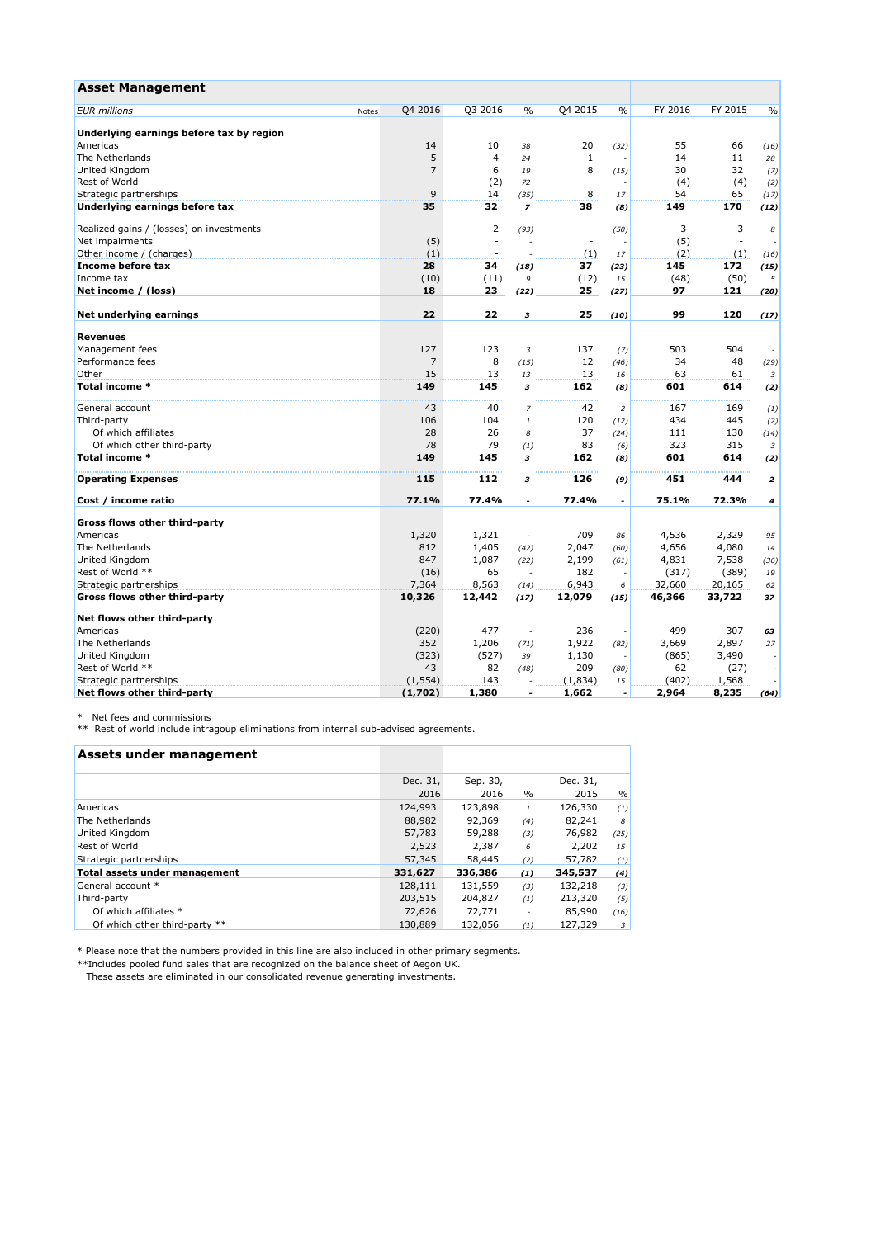| <b>Asset Management</b>                  |              |                |                          |                |                          |                |         |         |                          |
|------------------------------------------|--------------|----------------|--------------------------|----------------|--------------------------|----------------|---------|---------|--------------------------|
| <b>EUR</b> millions                      | <b>Notes</b> | Q4 2016        | Q3 2016                  | $\frac{0}{0}$  | Q4 2015                  | $\frac{0}{0}$  | FY 2016 | FY 2015 | $\%$                     |
| Underlying earnings before tax by region |              |                |                          |                |                          |                |         |         |                          |
| Americas                                 |              | 14             | 10                       | 38             | 20                       | (32)           | 55      | 66      | (16)                     |
| The Netherlands                          |              | 5              | $\overline{\mathbf{4}}$  | 24             | 1                        |                | 14      | 11      | 28                       |
| United Kingdom                           |              | $\overline{7}$ | 6                        | 19             | 8                        | (15)           | 30      | 32      | (7)                      |
| Rest of World                            |              | $\blacksquare$ | (2)                      | 72             | $\overline{\phantom{a}}$ | $\overline{a}$ | (4)     | (4)     | (2)                      |
| Strategic partnerships                   |              | 9              | 14                       | (35)           | 8                        | 17             | 54      | 65      | (17)                     |
| Underlying earnings before tax           |              | 35             | 32                       | $\overline{z}$ | 38                       | (8)            | 149     | 170     | (12)                     |
| Realized gains / (losses) on investments |              |                | $\overline{2}$           | (93)           | $\overline{\phantom{a}}$ | (50)           | 3       | 3       | 8                        |
| Net impairments                          |              | (5)            | $\overline{\phantom{a}}$ |                | L.                       |                | (5)     | ÷,      |                          |
| Other income / (charges)                 |              | (1)            | $\overline{a}$           |                | (1)                      | 17             | (2)     | (1)     | (16)                     |
| Income before tax                        |              | 28             | 34                       | (18)           | 37                       | (23)           | 145     | 172     | (15)                     |
| Income tax                               |              | (10)           | (11)                     | 9              | (12)                     | 15             | (48)    | (50)    | 5                        |
| Net income / (loss)                      |              | 18             | 23                       | (22)           | 25                       | (27)           | 97      | 121     | (20)                     |
| Net underlying earnings                  |              | 22             | 22                       | з              | 25                       | (10)           | 99      | 120     | (17)                     |
| <b>Revenues</b>                          |              |                |                          |                |                          |                |         |         |                          |
| Management fees                          |              | 127            | 123                      | 3              | 137                      | (7)            | 503     | 504     | $\overline{\phantom{a}}$ |
| Performance fees                         |              | $\overline{7}$ | 8                        | (15)           | 12                       | (46)           | 34      | 48      | (29)                     |
| Other                                    |              | 15             | 13                       | 13             | 13                       | 16             | 63      | 61      | 3                        |
| Total income *                           |              | 149            | 145                      | з              | 162                      | (8)            | 601     | 614     | (2)                      |
| General account                          |              | 43             | 40                       | $\overline{z}$ | 42                       | $\overline{2}$ | 167     | 169     | (1)                      |
| Third-party                              |              | 106            | 104                      | $\mathbf{1}$   | 120                      | (12)           | 434     | 445     | (2)                      |
| Of which affiliates                      |              | 28             | 26                       | 8              | 37                       | (24)           | 111     | 130     | (14)                     |
| Of which other third-party               |              | 78             | 79                       | (1)            | 83                       | (6)            | 323     | 315     | $\mathfrak{Z}$           |
| Total income *                           |              | 149            | 145                      | з              | 162                      | (8)            | 601     | 614     | (2)                      |
| <b>Operating Expenses</b>                |              | 115            | 112                      | з              | 126                      | (9)            | 451     | 444     | $\overline{\mathbf{z}}$  |
| Cost / income ratio                      |              | 77.1%          | 77.4%                    |                | 77.4%                    | $\overline{a}$ | 75.1%   | 72.3%   | 4                        |
| Gross flows other third-party            |              |                |                          |                |                          |                |         |         |                          |
| Americas                                 |              | 1,320          | 1,321                    | $\sim$         | 709                      | 86             | 4,536   | 2,329   | 95                       |
| The Netherlands                          |              | 812            | 1,405                    | (42)           | 2,047                    | (60)           | 4,656   | 4,080   | 14                       |
| United Kingdom                           |              | 847            | 1,087                    | (22)           | 2,199                    | (61)           | 4,831   | 7,538   | (36)                     |
| Rest of World **                         |              | (16)           | 65                       | $\overline{a}$ | 182                      |                | (317)   | (389)   | 19                       |
| Strategic partnerships                   |              | 7,364          | 8,563                    | (14)           | 6,943                    | 6              | 32,660  | 20,165  | 62                       |
| Gross flows other third-party            |              | 10,326         | 12,442                   | (17)           | 12,079                   | (15)           | 46,366  | 33,722  | 37                       |
| Net flows other third-party              |              |                |                          |                |                          |                |         |         |                          |
| Americas                                 |              | (220)          | 477                      | $\overline{a}$ | 236                      |                | 499     | 307     | 63                       |
| The Netherlands                          |              | 352            | 1,206                    | (71)           | 1,922                    | (82)           | 3,669   | 2,897   | 27                       |
| United Kingdom                           |              | (323)          | (527)                    | 39             | 1,130                    |                | (865)   | 3,490   | $\sim$                   |
| Rest of World **                         |              | 43             | 82                       | (48)           | 209                      | (80)           | 62      | (27)    |                          |
| Strategic partnerships                   |              | (1, 554)       | 143                      |                | (1,834)                  | 15             | (402)   | 1,568   | $\bar{\phantom{a}}$      |
| Net flows other third-party              |              | (1,702)        | 1,380                    |                | 1,662                    |                | 2,964   | 8,235   | (64)                     |

\* Net fees and commissions \*\* Rest of world include intragoup eliminations from internal sub-advised agreements.

|                               | Dec. 31, | Sep. 30, |                          | Dec. 31, |               |
|-------------------------------|----------|----------|--------------------------|----------|---------------|
|                               | 2016     | 2016     | $\frac{0}{0}$            | 2015     | $\frac{0}{0}$ |
| Americas                      | 124,993  | 123,898  | 1                        | 126,330  | (1)           |
| The Netherlands               | 88,982   | 92,369   | (4)                      | 82,241   | 8             |
| United Kingdom                | 57,783   | 59,288   | (3)                      | 76,982   | (25)          |
| Rest of World                 | 2,523    | 2,387    | 6                        | 2,202    | 15            |
| Strategic partnerships        | 57,345   | 58,445   | (2)                      | 57,782   | (1)           |
| Total assets under management | 331,627  | 336,386  | (1)                      | 345,537  | (4)           |
| General account *             | 128,111  | 131,559  | (3)                      | 132,218  | (3)           |
| Third-party                   | 203,515  | 204,827  | (1)                      | 213,320  | (5)           |
| Of which affiliates *         | 72,626   | 72,771   | $\overline{\phantom{a}}$ | 85,990   | (16)          |
| Of which other third-party ** | 130,889  | 132,056  | (1)                      | 127,329  | 3             |

\* Please note that the numbers provided in this line are also included in other primary segments.

\*\*Includes pooled fund sales that are recognized on the balance sheet of Aegon UK.

These assets are eliminated in our consolidated revenue generating investments.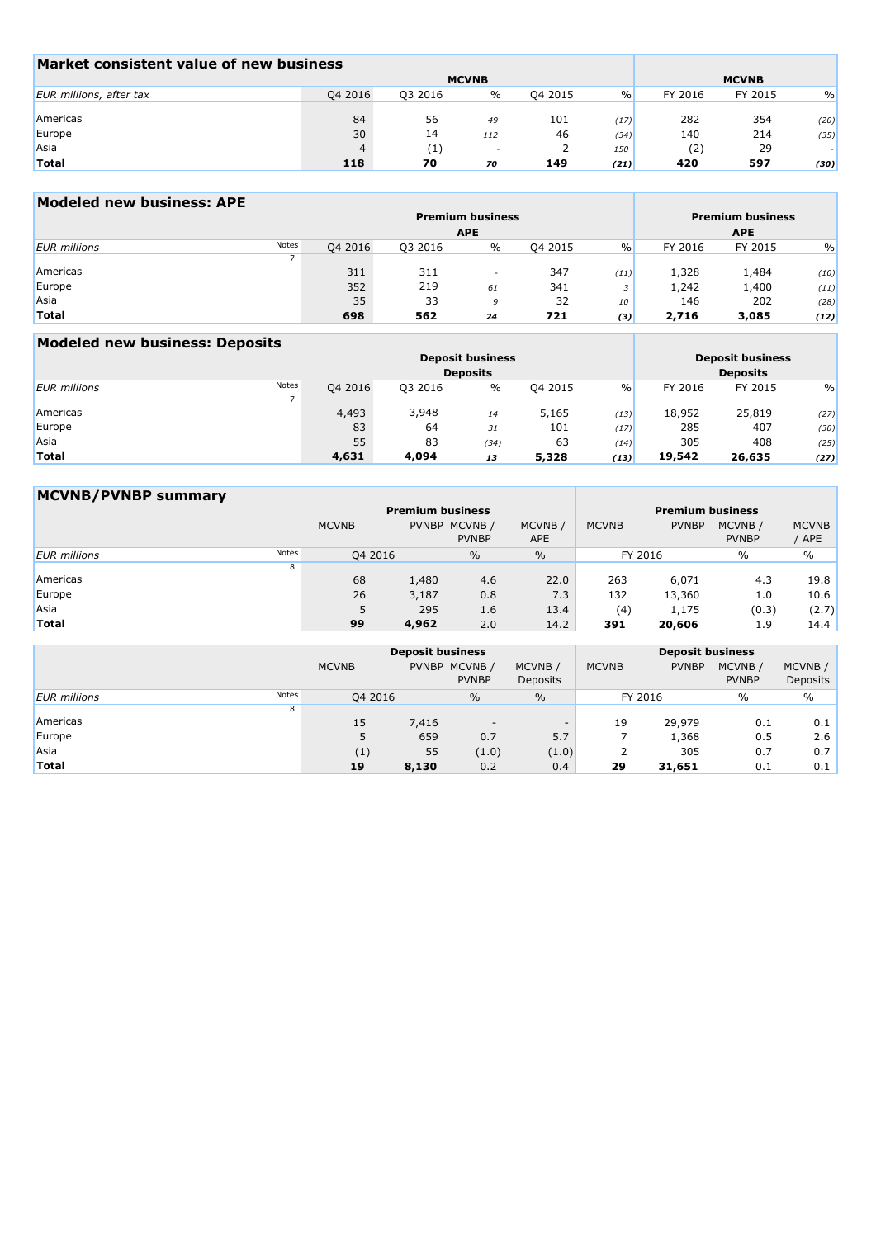|                         | Market consistent value of new business |              |                          |         |               |         |         |               |  |
|-------------------------|-----------------------------------------|--------------|--------------------------|---------|---------------|---------|---------|---------------|--|
|                         |                                         | <b>MCVNB</b> | <b>MCVNB</b>             |         |               |         |         |               |  |
| EUR millions, after tax | Q4 2016                                 | 03 2016      | $\frac{0}{0}$            | 04 2015 | $\frac{0}{0}$ | FY 2016 | FY 2015 | $\frac{0}{0}$ |  |
|                         |                                         |              |                          |         |               |         |         |               |  |
| Americas                | 84                                      | 56           | 49                       | 101     | (17)          | 282     | 354     | (20)          |  |
| Europe                  | 30                                      | 14           | 112                      | 46      | (34)          | 140     | 214     | (35)          |  |
| Asia                    | 4                                       | (1)          | $\overline{\phantom{a}}$ |         | 150           | (2)     | 29      |               |  |
| <b>Total</b>            | 118                                     | 70           | 70                       | 149     | (21)          | 420     | 597     | (30)          |  |

| <b>Modeled new business: APE</b> |       |         |            |               |         |               |         |                         |               |
|----------------------------------|-------|---------|------------|---------------|---------|---------------|---------|-------------------------|---------------|
|                                  |       |         |            |               |         |               |         | <b>Premium business</b> |               |
|                                  |       |         | <b>APE</b> | <b>APE</b>    |         |               |         |                         |               |
| <b>EUR</b> millions              | Notes | Q4 2016 | Q3 2016    | $\frac{0}{0}$ | Q4 2015 | $\frac{0}{0}$ | FY 2016 | FY 2015                 | $\frac{0}{0}$ |
|                                  |       |         |            |               |         |               |         |                         |               |
| Americas                         |       | 311     | 311        | -             | 347     | (11)          | 1,328   | 1,484                   | (10)          |
| Europe                           |       | 352     | 219        | 61            | 341     |               | 1,242   | 1,400                   | (11)          |
| Asia                             |       | 35      | 33         | Q             | 32      | 10            | 146     | 202                     | (28)          |
| <b>Total</b>                     |       | 698     | 562        | 24            | 721     | (3)           | 2,716   | 3,085                   | (12)          |

| <b>Modeled new business: Deposits</b> |                  |                                                    |               |                 |               |         |         |               |  |  |  |  |
|---------------------------------------|------------------|----------------------------------------------------|---------------|-----------------|---------------|---------|---------|---------------|--|--|--|--|
|                                       |                  | <b>Deposit business</b><br><b>Deposit business</b> |               |                 |               |         |         |               |  |  |  |  |
|                                       |                  | <b>Deposits</b>                                    |               | <b>Deposits</b> |               |         |         |               |  |  |  |  |
| <b>EUR</b> millions                   | Notes<br>Q4 2016 | Q3 2016                                            | $\frac{0}{0}$ | 04 2015         | $\frac{0}{0}$ | FY 2016 | FY 2015 | $\frac{0}{0}$ |  |  |  |  |
|                                       |                  |                                                    |               |                 |               |         |         |               |  |  |  |  |
| Americas                              | 4,493            | 3,948                                              | 14            | 5,165           | (13)          | 18,952  | 25,819  | (27)          |  |  |  |  |
| Europe                                | 83               | 64                                                 | 31            | 101             | (17)          | 285     | 407     | (30)          |  |  |  |  |
| Asia                                  | 55               | 83                                                 | (34)          | 63              | (14)          | 305     | 408     | (25)          |  |  |  |  |
| <b>Total</b>                          | 4,631            | 4,094                                              | 13            | 5,328           | (13)          | 19,542  | 26,635  | (27)          |  |  |  |  |

| <b>MCVNB/PVNBP summary</b> |       |              |       |                               |                      |                         |              |                        |                       |  |  |
|----------------------------|-------|--------------|-------|-------------------------------|----------------------|-------------------------|--------------|------------------------|-----------------------|--|--|
|                            |       |              |       | <b>Premium business</b>       |                      | <b>Premium business</b> |              |                        |                       |  |  |
|                            |       | <b>MCVNB</b> |       | PVNBP MCVNB /<br><b>PVNBP</b> | MCVNB/<br><b>APE</b> | <b>MCVNB</b>            | <b>PVNBP</b> | MCVNB/<br><b>PVNBP</b> | <b>MCVNB</b><br>/ APE |  |  |
| <b>EUR</b> millions        | Notes | Q4 2016      |       | $\frac{0}{0}$                 | $\frac{0}{0}$        | FY 2016                 |              | $\%$                   | $\%$                  |  |  |
|                            | 8     |              |       |                               |                      |                         |              |                        |                       |  |  |
| Americas                   |       | 68           | 1,480 | 4.6                           | 22.0                 | 263                     | 6,071        | 4.3                    | 19.8                  |  |  |
| Europe                     |       | 26           | 3,187 | 0.8                           | 7.3                  | 132                     | 13,360       | 1.0                    | 10.6                  |  |  |
| Asia                       |       | 5            | 295   | 1.6                           | 13.4                 | (4)                     | 1,175        | (0.3)                  | (2.7)                 |  |  |
| <b>Total</b>               |       | 99           | 4,962 | 2.0                           | 14.2                 | 391                     | 20,606       | 1.9                    | 14.4                  |  |  |

|                     |       |              | <b>Deposit business</b> |                        |                          |              |              | <b>Deposit business</b> |                    |  |  |  |  |
|---------------------|-------|--------------|-------------------------|------------------------|--------------------------|--------------|--------------|-------------------------|--------------------|--|--|--|--|
|                     |       | <b>MCVNB</b> | <b>PVNBP</b>            | MCVNB/<br><b>PVNBP</b> | MCVNB/<br>Deposits       | <b>MCVNB</b> | <b>PVNBP</b> | MCVNB/<br><b>PVNBP</b>  | MCVNB/<br>Deposits |  |  |  |  |
| <b>EUR</b> millions | Notes | Q4 2016      |                         | $\frac{0}{0}$          | $\frac{0}{0}$            |              | FY 2016      | $\%$                    | $\%$               |  |  |  |  |
|                     | 8     |              |                         |                        |                          |              |              |                         |                    |  |  |  |  |
| Americas            |       | 15           | 7,416                   | -                      | $\overline{\phantom{a}}$ | 19           | 29,979       | 0.1                     | 0.1                |  |  |  |  |
| Europe              |       | 5            | 659                     | 0.7                    | 5.7                      |              | 1,368        | 0.5                     | 2.6                |  |  |  |  |
| Asia                |       | (1)          | 55                      | (1.0)                  | (1.0)                    |              | 305          | 0.7                     | 0.7                |  |  |  |  |
| <b>Total</b>        |       | 19           | 8,130                   | 0.2                    | 0.4                      | 29           | 31,651       | 0.1                     | 0.1                |  |  |  |  |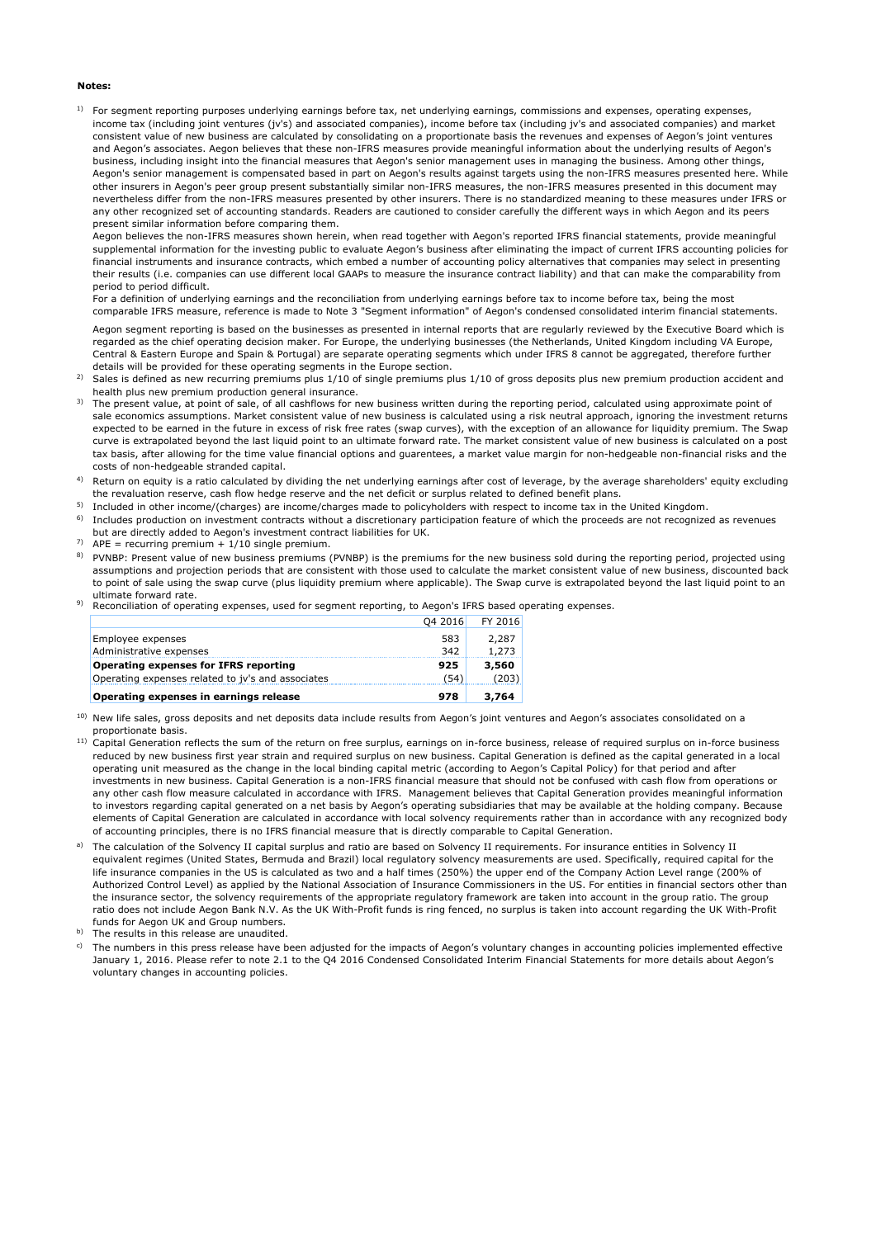### **Notes:**

<sup>1)</sup> For segment reporting purposes underlying earnings before tax, net underlying earnings, commissions and expenses, operating expenses, income tax (including joint ventures (jv's) and associated companies), income before tax (including jv's and associated companies) and market consistent value of new business are calculated by consolidating on a proportionate basis the revenues and expenses of Aegon's joint ventures and Aegon's associates. Aegon believes that these non-IFRS measures provide meaningful information about the underlying results of Aegon's business, including insight into the financial measures that Aegon's senior management uses in managing the business. Among other things, Aegon's senior management is compensated based in part on Aegon's results against targets using the non-IFRS measures presented here. While other insurers in Aegon's peer group present substantially similar non-IFRS measures, the non-IFRS measures presented in this document may nevertheless differ from the non-IFRS measures presented by other insurers. There is no standardized meaning to these measures under IFRS or any other recognized set of accounting standards. Readers are cautioned to consider carefully the different ways in which Aegon and its peers present similar information before comparing them.

Aegon believes the non-IFRS measures shown herein, when read together with Aegon's reported IFRS financial statements, provide meaningful supplemental information for the investing public to evaluate Aegon's business after eliminating the impact of current IFRS accounting policies for financial instruments and insurance contracts, which embed a number of accounting policy alternatives that companies may select in presenting their results (i.e. companies can use different local GAAPs to measure the insurance contract liability) and that can make the comparability from period to period difficult.

For a definition of underlying earnings and the reconciliation from underlying earnings before tax to income before tax, being the most comparable IFRS measure, reference is made to Note 3 "Segment information" of Aegon's condensed consolidated interim financial statements.

Aegon segment reporting is based on the businesses as presented in internal reports that are regularly reviewed by the Executive Board which is regarded as the chief operating decision maker. For Europe, the underlying businesses (the Netherlands, United Kingdom including VA Europe, Central & Eastern Europe and Spain & Portugal) are separate operating segments which under IFRS 8 cannot be aggregated, therefore further details will be provided for these operating segments in the Europe section.

- 2) Sales is defined as new recurring premiums plus 1/10 of single premiums plus 1/10 of gross deposits plus new premium production accident and health plus new premium production general insurance.
- 3) The present value, at point of sale, of all cashflows for new business written during the reporting period, calculated using approximate point of sale economics assumptions. Market consistent value of new business is calculated using a risk neutral approach, ignoring the investment returns expected to be earned in the future in excess of risk free rates (swap curves), with the exception of an allowance for liquidity premium. The Swap curve is extrapolated beyond the last liquid point to an ultimate forward rate. The market consistent value of new business is calculated on a post tax basis, after allowing for the time value financial options and guarentees, a market value margin for non-hedgeable non-financial risks and the costs of non-hedgeable stranded capital.
- 4) Return on equity is a ratio calculated by dividing the net underlying earnings after cost of leverage, by the average shareholders' equity excluding the revaluation reserve, cash flow hedge reserve and the net deficit or surplus related to defined benefit plans.
- 5) Included in other income/(charges) are income/charges made to policyholders with respect to income tax in the United Kingdom.
- 6) Includes production on investment contracts without a discretionary participation feature of which the proceeds are not recognized as revenues but are directly added to Aegon's investment contract liabilities for UK.
- <sup>7)</sup> APE = recurring premium +  $1/10$  single premium.
- 8) PVNBP: Present value of new business premiums (PVNBP) is the premiums for the new business sold during the reporting period, projected using assumptions and projection periods that are consistent with those used to calculate the market consistent value of new business, discounted back to point of sale using the swap curve (plus liquidity premium where applicable). The Swap curve is extrapolated beyond the last liquid point to an ultimate forward rate.
- 9) Reconciliation of operating expenses, used for segment reporting, to Aegon's IFRS based operating expenses.

| Operating expenses in earnings release            | 978     | 3,764   |
|---------------------------------------------------|---------|---------|
| Operating expenses related to jv's and associates | (54)    | (203)   |
| Operating expenses for IFRS reporting             | 925     | 3,560   |
| Administrative expenses                           | 342     | 1.273   |
| Employee expenses                                 | 583     | 2,287   |
|                                                   | Q4 2016 | FY 2016 |

<sup>10)</sup> New life sales, gross deposits and net deposits data include results from Aegon's joint ventures and Aegon's associates consolidated on a proportionate basis.

- <sup>11)</sup> Capital Generation reflects the sum of the return on free surplus, earnings on in-force business, release of required surplus on in-force business reduced by new business first year strain and required surplus on new business. Capital Generation is defined as the capital generated in a local operating unit measured as the change in the local binding capital metric (according to Aegon's Capital Policy) for that period and after investments in new business. Capital Generation is a non-IFRS financial measure that should not be confused with cash flow from operations or any other cash flow measure calculated in accordance with IFRS. Management believes that Capital Generation provides meaningful information to investors regarding capital generated on a net basis by Aegon's operating subsidiaries that may be available at the holding company. Because elements of Capital Generation are calculated in accordance with local solvency requirements rather than in accordance with any recognized body of accounting principles, there is no IFRS financial measure that is directly comparable to Capital Generation.
- a) The calculation of the Solvency II capital surplus and ratio are based on Solvency II requirements. For insurance entities in Solvency II equivalent regimes (United States, Bermuda and Brazil) local regulatory solvency measurements are used. Specifically, required capital for the life insurance companies in the US is calculated as two and a half times (250%) the upper end of the Company Action Level range (200% of Authorized Control Level) as applied by the National Association of Insurance Commissioners in the US. For entities in financial sectors other than the insurance sector, the solvency requirements of the appropriate regulatory framework are taken into account in the group ratio. The group ratio does not include Aegon Bank N.V. As the UK With-Profit funds is ring fenced, no surplus is taken into account regarding the UK With-Profit funds for Aegon UK and Group numbers.

b) The results in this release are unaudited.

c) The numbers in this press release have been adjusted for the impacts of Aegon's voluntary changes in accounting policies implemented effective January 1, 2016. Please refer to note 2.1 to the Q4 2016 Condensed Consolidated Interim Financial Statements for more details about Aegon's voluntary changes in accounting policies.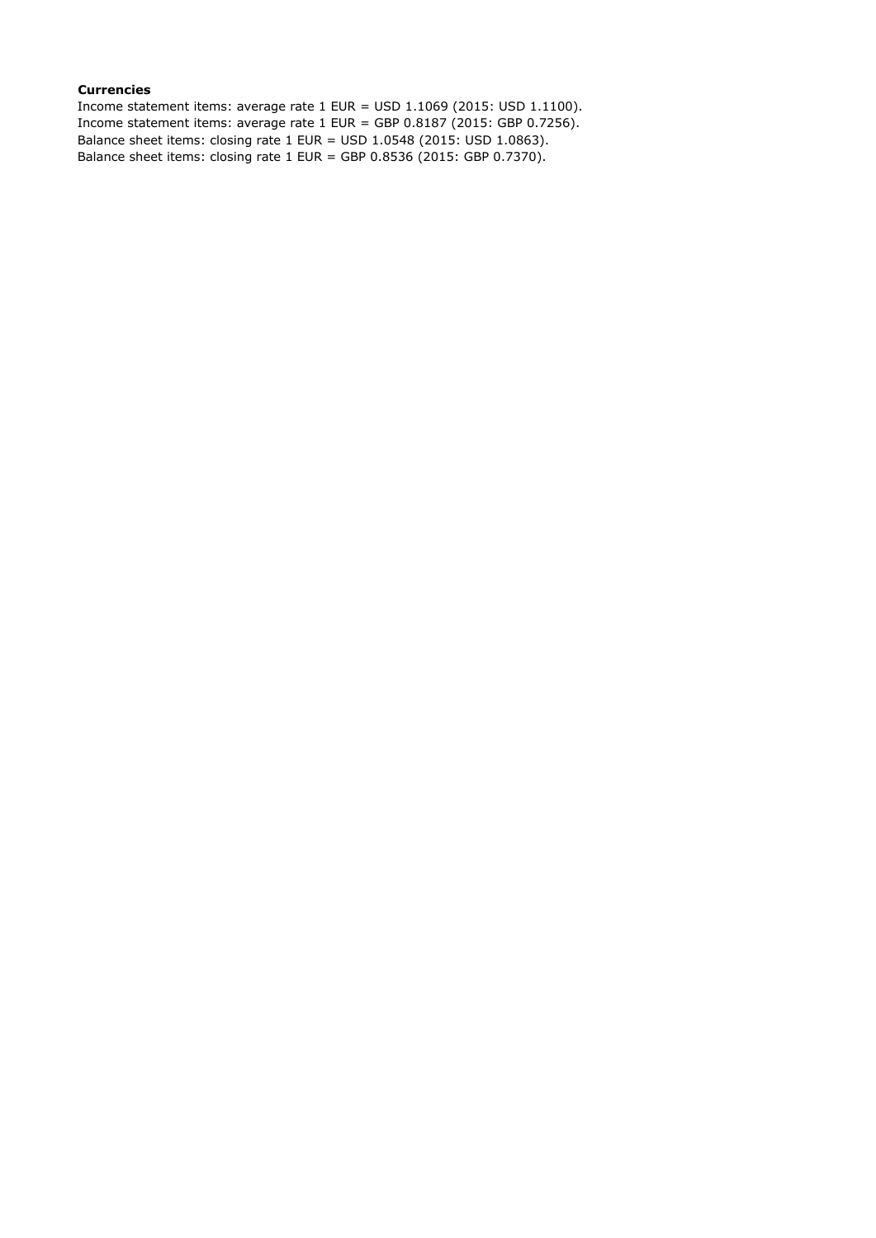# **Currencies**

Income statement items: average rate 1 EUR = USD 1.1069 (2015: USD 1.1100). Income statement items: average rate 1 EUR = GBP 0.8187 (2015: GBP 0.7256). Balance sheet items: closing rate 1 EUR = USD 1.0548 (2015: USD 1.0863). Balance sheet items: closing rate 1 EUR = GBP 0.8536 (2015: GBP 0.7370).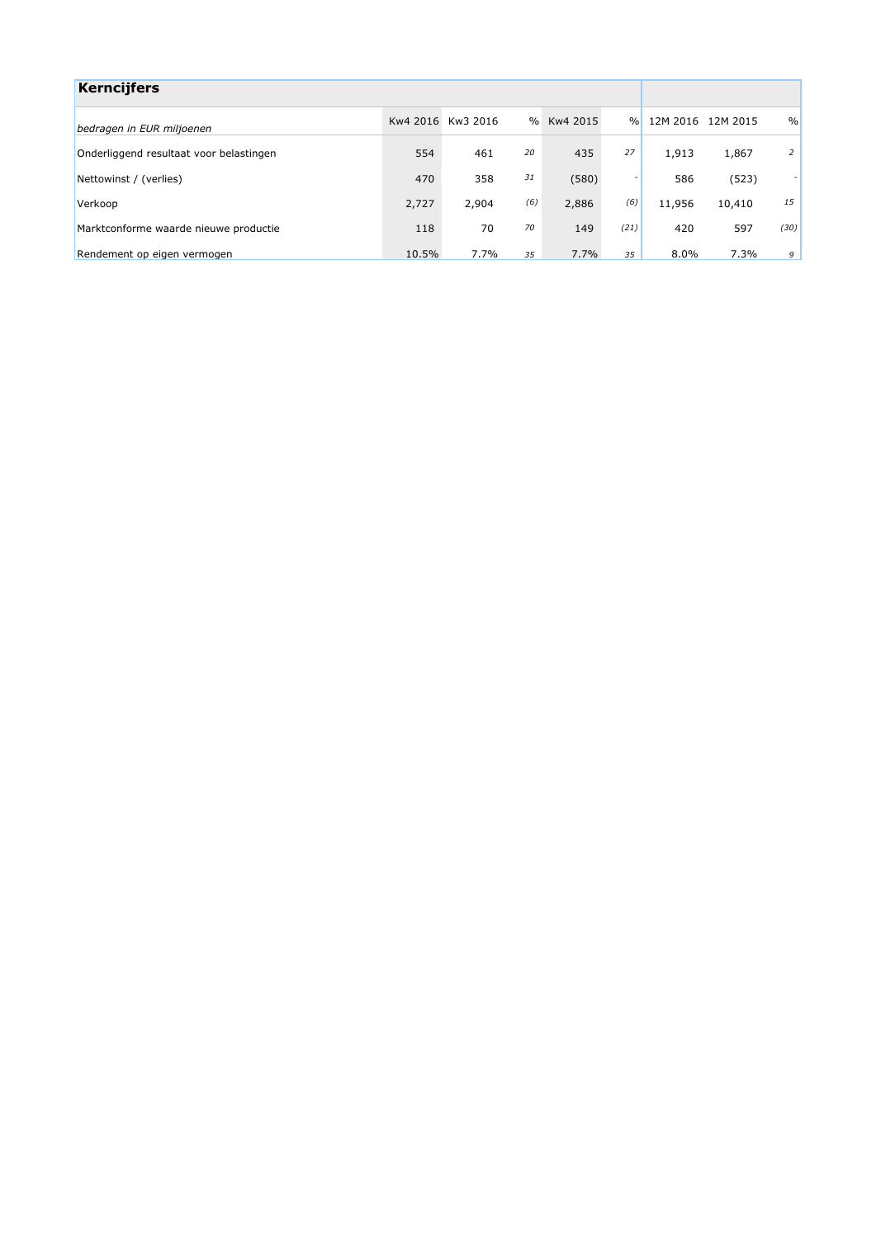| <b>Kerncijfers</b>                      |       |                   |               |          |      |                   |        |               |
|-----------------------------------------|-------|-------------------|---------------|----------|------|-------------------|--------|---------------|
| bedragen in EUR miljoenen               |       | Kw4 2016 Kw3 2016 | $\frac{0}{0}$ | Kw4 2015 | 0/2  | 12M 2016 12M 2015 |        | $\frac{0}{0}$ |
| Onderliggend resultaat voor belastingen | 554   | 461               | 20            | 435      | 27   | 1,913             | 1,867  | 2             |
| Nettowinst / (verlies)                  | 470   | 358               | 31            | (580)    |      | 586               | (523)  |               |
| Verkoop                                 | 2,727 | 2,904             | (6)           | 2,886    | (6)  | 11,956            | 10,410 | 15            |
| Marktconforme waarde nieuwe productie   | 118   | 70                | 70            | 149      | (21) | 420               | 597    | (30)          |
| Rendement op eigen vermogen             | 10.5% | 7.7%              | 35            | 7.7%     | 35   | $8.0\%$           | 7.3%   | 9             |